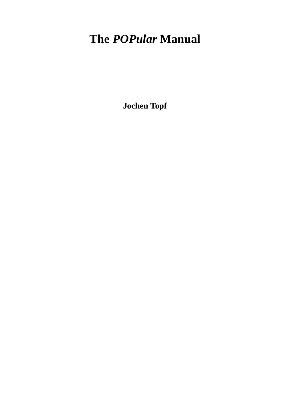# **The** *POPular* **Manual**

**Jochen Topf**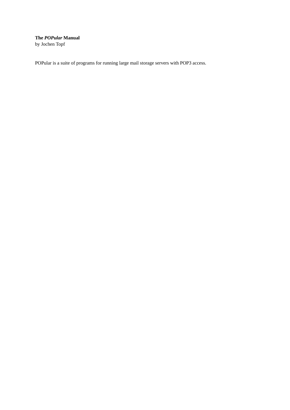**The** *POPular* **Manual** by Jochen Topf

POPular is a suite of programs for running large mail storage servers with POP3 access.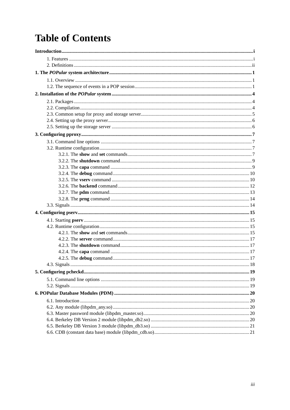# **Table of Contents**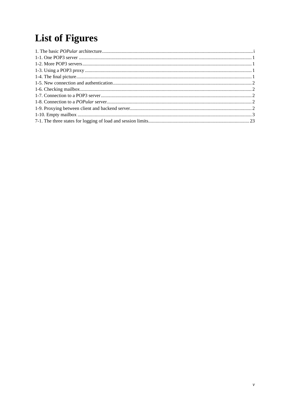# **List of Figures**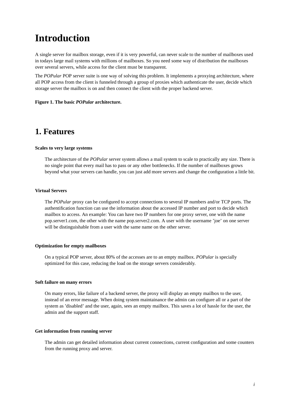# <span id="page-5-0"></span>**Introduction**

A single server for mailbox storage, even if it is very powerful, can never scale to the number of mailboxes used in todays large mail systems with millions of mailboxes. So you need some way of distribution the mailboxes over several servers, while access for the client must be transparent.

The *POPular* POP server suite is one way of solving this problem. It implements a proxying architecture, where all POP access from the client is funneled through a group of proxies which authenticate the user, decide which storage server the mailbox is on and then connect the client with the proper backend server.

<span id="page-5-2"></span><span id="page-5-1"></span>**Figure 1. The basic** *POPular* **architecture.**

## **1. Features**

#### **Scales to very large systems**

The architecture of the *POPular* server system allows a mail system to scale to practically any size. There is no single point that every mail has to pass or any other bottlenecks. If the number of mailboxes grows beyond what your servers can handle, you can just add more servers and change the configuration a little bit.

#### **Virtual Servers**

The *POPular* proxy can be configured to accept connections to several IP numbers and/or TCP ports. The authentification function can use the information about the accessed IP number and port to decide which mailbox to access. An example: You can have two IP numbers for one proxy server, one with the name pop.server1.com, the other with the name pop.server2.com. A user with the username 'joe' on one server will be distinguishable from a user with the same name on the other server.

#### **Optimization for empty mailboxes**

On a typical POP server, about 80% of the accesses are to an empty mailbox. *POPular* is specially optimized for this case, reducing the load on the storage servers considerably.

#### **Soft failure on many errors**

On many errors, like failure of a backend server, the proxy will display an empty mailbox to the user, instead of an error message. When doing system maintainance the admin can configure all or a part of the system as 'disabled' and the user, again, sees an empty mailbox. This saves a lot of hassle for the user, the admin and the support staff.

#### **Get information from running server**

The admin can get detailed information about current connections, current configuration and some counters from the running proxy and server.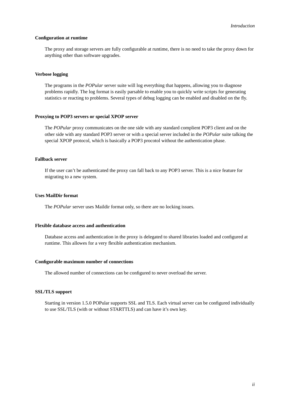#### **Configuration at runtime**

The proxy and storage servers are fully configurable at runtime, there is no need to take the proxy down for anything other than software upgrades.

#### **Verbose logging**

The programs in the *POPular* server suite will log everything that happens, allowing you to diagnose problems rapidly. The log format is easily parsable to enable you to quickly write scripts for generating statistics or reacting to problems. Several types of debug logging can be enabled and disabled on the fly.

#### **Proxying to POP3 servers or special XPOP server**

The *POPular* proxy communicates on the one side with any standard complient POP3 client and on the other side with any standard POP3 server or with a special server included in the *POPular* suite talking the special XPOP protocol, which is basically a POP3 procotol without the authentication phase.

#### **Fallback server**

If the user can't be authenticated the proxy can fall back to any POP3 server. This is a nice feature for migrating to a new system.

#### **Uses MailDir format**

The *POPular* server uses Maildir format only, so there are no locking issues.

#### **Flexible database access and authentication**

Database access and authentication in the proxy is delegated to shared libraries loaded and configured at runtime. This allowes for a very flexible authentication mechanism.

#### **Configurable maximum number of connections**

The allowed number of connections can be configured to never overload the server.

#### **SSL/TLS support**

<span id="page-6-0"></span>Starting in version 1.5.0 POPular supports SSL and TLS. Each virtual server can be configured individually to use SSL/TLS (with or without STARTTLS) and can have it's own key.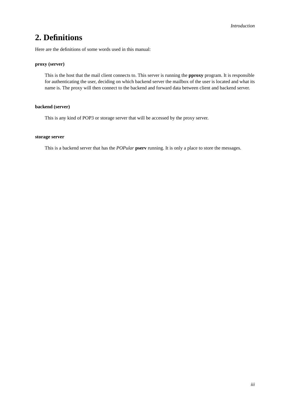## **2. Definitions**

Here are the definitions of some words used in this manual:

#### **proxy (server)**

This is the host that the mail client connects to. This server is running the **pproxy** program. It is responsible for authenticating the user, deciding on which backend server the mailbox of the user is located and what its name is. The proxy will then connect to the backend and forward data between client and backend server.

#### **backend (server)**

This is any kind of POP3 or storage server that will be accessed by the proxy server.

#### **storage server**

This is a backend server that has the *POPular* **pserv** running. It is only a place to store the messages.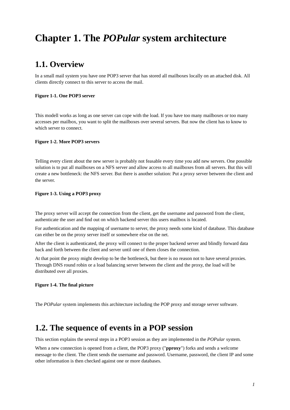# <span id="page-8-0"></span>**Chapter 1. The** *POPular* **system architecture**

## <span id="page-8-1"></span>**1.1. Overview**

In a small mail system you have one POP3 server that has stored all mailboxes locally on an attached disk. All clients directly connect to this server to access the mail.

#### <span id="page-8-3"></span>**Figure 1-1. One POP3 server**

This modell works as long as one server can cope with the load. If you have too many mailboxes or too many accesses per mailbox, you want to split the mailboxes over several servers. But now the client has to know to which server to connect.

#### <span id="page-8-4"></span>**Figure 1-2. More POP3 servers**

Telling every client about the new server is probably not feasable every time you add new servers. One possible solution is to put all mailboxes on a NFS server and allow access to all mailboxes from all servers. But this will create a new bottleneck: the NFS server. But there is another solution: Put a proxy server between the client and the server.

#### <span id="page-8-5"></span>**Figure 1-3. Using a POP3 proxy**

The proxy server will accept the connection from the client, get the username and password from the client, authenticate the user and find out on which backend server this users mailbox is located.

For authentication and the mapping of username to server, the proxy needs some kind of database. This database can either be on the proxy server itself or somewhere else on the net.

After the client is authenticated, the proxy will connect to the proper backend server and blindly forward data back and forth between the client and server until one of them closes the connection.

At that point the proxy might develop to be the bottleneck, but there is no reason not to have several proxies. Through DNS round robin or a load balancing server between the client and the proxy, the load will be distributed over all proxies.

#### <span id="page-8-6"></span>**Figure 1-4. The final picture**

<span id="page-8-2"></span>The *POPular* system implements this architecture including the POP proxy and storage server software.

## **1.2. The sequence of events in a POP session**

This section explains the several steps in a POP3 session as they are implemented in the *POPular* system.

When a new connection is opened from a client, the POP3 proxy ("**pproxy**") forks and sends a welcome message to the client. The client sends the username and password. Username, password, the client IP and some other information is then checked against one or more databases.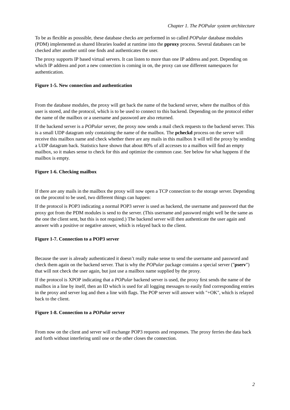To be as flexible as posssible, these database checks are performed in so called *POPular* database modules (PDM) implemented as shared libraries loaded at runtime into the **pproxy** process. Several databases can be checked after another until one finds and authenticates the user.

The proxy supports IP based virtual servers. It can listen to more than one IP address and port. Depending on which IP address and port a new connection is coming in on, the proxy can use different namespaces for authentication.

#### <span id="page-9-0"></span>**Figure 1-5. New connection and authentication**

From the database modules, the proxy will get back the name of the backend server, where the mailbox of this user is stored, and the protocol, which is to be used to connect to this backend. Depending on the protocol either the name of the mailbox or a username and password are also returned.

If the backend server is a *POPular* server, the proxy now sends a mail check requests to the backend server. This is a small UDP datagram only containing the name of the mailbox. The **pcheckd** process on the server will receive this mailbox name and check whether there are any mails in this mailbox It will tell the proxy by sending a UDP datagram back. Statistics have shown that about 80% of all accesses to a mailbox will find an empty mailbox, so it makes sense to check for this and optimize the common case. See below for what happens if the mailbox is empty.

#### <span id="page-9-1"></span>**Figure 1-6. Checking mailbox**

If there are any mails in the mailbox the proxy will now open a TCP connection to the storage server. Depending on the procotol to be used, two different things can happen:

If the protocol is POP3 indicating a normal POP3 server is used as backend, the username and password that the proxy got from the PDM modules is send to the server. (This username and password might well be the same as the one the client sent, but this is not required.) The backend server will then authenticate the user again and answer with a positive or negative answer, which is relayed back to the client.

#### <span id="page-9-2"></span>**Figure 1-7. Connection to a POP3 server**

Because the user is already authenticated it doesn't really make sense to send the username and password and check them again on the backend server. That is why the *POPular* package contains a special server ("**pserv**") that will not check the user again, but just use a mailbox name supplied by the proxy.

If the protocol is XPOP indicating that a *POPular* backend server is used, the proxy first sends the name of the mailbox in a line by itself, then an ID which is used for all logging messages to easily find corresponding entries in the proxy and server log and then a line with flags. The POP server will answer with "+OK", which is relayed back to the client.

#### <span id="page-9-3"></span>**Figure 1-8. Connection to a** *POPular* **server**

<span id="page-9-4"></span>From now on the client and server will exchange POP3 requests and responses. The proxy ferries the data back and forth without interfering until one or the other closes the connection.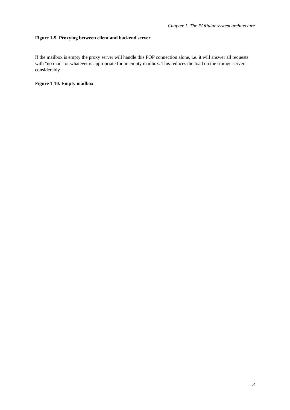#### **Figure 1-9. Proxying between client and backend server**

If the mailbox is empty the proxy server will handle this POP connection alone, i.e. it will answer all requests with "no mail" or whatever is appropriate for an empty mailbox. This reduces the load on the storage servers considerably.

#### <span id="page-10-0"></span>**Figure 1-10. Empty mailbox**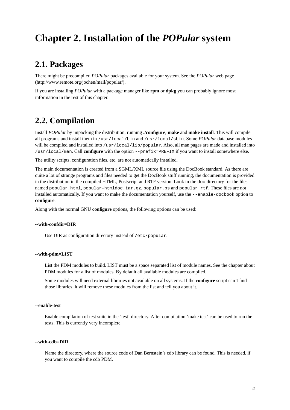## <span id="page-11-1"></span><span id="page-11-0"></span>**Chapter 2. Installation of the** *POPular* **system**

## **2.1. Packages**

There might be precompiled *POPular* packages available for your system. See the *POPular* web page (http://www.remote.org/jochen/mail/popular/).

<span id="page-11-2"></span>If you are installing *POPular* with a package manager like **rpm** or **dpkg** you can probably ignore most information in the rest of this chapter.

## **2.2. Compilation**

Install *POPular* by unpacking the distribution, running **./configure**, **make** and **make install**. This will compile all programs and install them in /usr/local/bin and /usr/local/sbin. Some *POPular* database modules will be compiled and installed into /usr/local/lib/popular. Also, all man pages are made and installed into /usr/local/man. Call **configure** with the option --prefix=PREFIX if you want to install somewhere else.

The utility scripts, configuration files, etc. are not automatically installed.

The main documentation is created from a SGML/XML source file using the DocBook standard. As there are quite a lot of strange programs and files needed to get the DocBook stuff running, the documentation is provided in the distribution in the compiled HTML, Postscript and RTF version. Look in the doc directory for the files named popular.html, popular-htmldoc.tar.gz, popular.ps and popular.rtf. These files are not installed automatically. If you want to make the documentation yourself, use the --enable-docbook option to **configure**.

Along with the normal GNU **configure** options, the following options can be used:

#### **--with-confdir=DIR**

Use DIR as configuration directory instead of /etc/popular.

#### **--with-pdm=LIST**

List the PDM modules to build. LIST must be a space separated list of module names. See the [chapter about](#page-27-0) [PDM modules](#page-27-0) for a list of modules. By default all available modules are compiled.

Some modules will need external libraries not available on all systems. If the **configure** script can't find those libraries, it will remove these modules from the list and tell you about it.

#### **--enable-test**

Enable compilation of test suite in the 'test' directory. After compilation 'make test' can be used to run the tests. This is currently very incomplete.

#### **--with-cdb=DIR**

Name the directory, where the source code of Dan Bernstein's cdb library can be found. This is needed, if you want to compile the cdb PDM.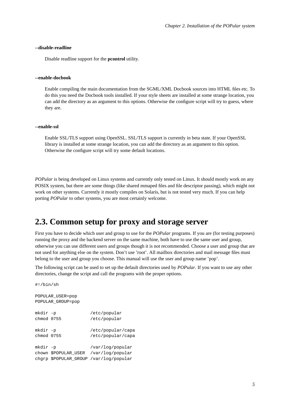#### **--disable-readline**

Disable readline support for the **pcontrol** utility.

#### **--enable-docbook**

Enable compiling the main documentation from the SGML/XML Docbook sources into HTML files etc. To do this you need the Docbook tools installed. If your style sheets are installed at some strange location, you can add the directory as an argument to this options. Otherwise the configure script will try to guess, where they are.

#### **--enable-ssl**

Enable SSL/TLS support using OpenSSL. SSL/TLS support is currently in beta state. If your OpenSSL library is installed at some strange location, you can add the directory as an argument to this option. Otherwise the configure script will try some default locations.

*POPular* is being developed on Linux systems and currently only tested on Linux. It should mostly work on any POSIX system, but there are some things (like shared mmaped files and file descriptor passing), which might not work on other systems. Currently it mostly compiles on Solaris, but is not tested very much. If you can help porting *POPular* to other systems, you are most certainly welcome.

## <span id="page-12-0"></span>**2.3. Common setup for proxy and storage server**

First you have to decide which user and group to use for the *POPular* programs. If you are (for testing purposes) running the proxy and the backend server on the same machine, both have to use the same user and group, otherwise you can use different users and groups though it is not recommended. Choose a user and group that are not used for anything else on the system. Don't use 'root'. All mailbox directories and mail message files must belong to the user and group you choose. This manual will use the user and group name 'pop'.

The following script can be used to set up the default directories used by *POPular*. If you want to use any other directories, change the script and call the programs with the proper options.

#!/bin/sh

```
POPULAR_USER=pop
POPULAR_GROUP=pop
mkdir -p /etc/popular
chmod 0755 /etc/popular
mkdir -p /etc/popular/capa
chmod 0755 /etc/popular/capa
mkdir -p /var/log/popular
chown $POPULAR_USER /var/log/popular
chgrp $POPULAR_GROUP /var/log/popular
```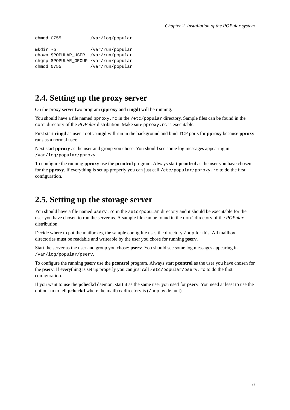```
chmod 0755 /var/log/popular
mkdir -p /var/run/popular
chown $POPULAR_USER /var/run/popular
chgrp $POPULAR_GROUP /var/run/popular
chmod 0755 /var/run/popular
```
## <span id="page-13-0"></span>**2.4. Setting up the proxy server**

On the proxy server two program (**pproxy** and **ringd**) will be running.

You should have a file named pproxy.rc in the /etc/popular directory. Sample files can be found in the conf directory of the *POPular* distribution. Make sure pproxy.rc is executable.

First start **ringd** as user 'root'. **ringd** will run in the background and bind TCP ports for **pproxy** because **pproxy** runs as a normal user.

Next start **pproxy** as the user and group you chose. You should see some log messages appearing in /var/log/popular/pproxy.

To configure the running **pproxy** use the **pcontrol** program. Always start **pcontrol** as the user you have chosen for the **pproxy**. If everything is set up properly you can just call /etc/popular/pproxy.rc to do the first configuration.

## <span id="page-13-1"></span>**2.5. Setting up the storage server**

You should have a file named pserv.rc in the /etc/popular directory and it should be executable for the user you have chosen to run the server as. A sample file can be found in the conf directory of the *POPular* distribution.

Decide where to put the mailboxes, the sample config file uses the directory /pop for this. All mailbox directories must be readable and writeable by the user you chose for running **pserv**.

Start the server as the user and group you chose: **pserv**. You should see some log messages appearing in /var/log/popular/pserv.

To configure the running **pserv** use the **pcontrol** program. Always start **pcontrol** as the user you have chosen for the **pserv**. If everything is set up properly you can just call /etc/popular/pserv.rc to do the first configuration.

If you want to use the **pcheckd** daemon, start it as the same user you used for **pserv**. You need at least to use the option -m to tell **pcheckd** where the mailbox directory is (/pop by default).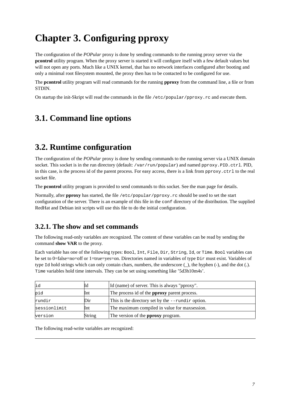# <span id="page-14-0"></span>**Chapter 3. Configuring pproxy**

The configuration of the *POPular* proxy is done by sending commands to the running proxy server via the **pcontrol** utility program. When the proxy server is started it will configure itself with a few default values but will not open any ports. Much like a UNIX kernel, that has no network interfaces configured after booting and only a minimal root filesystem mounted, the proxy then has to be contacted to be configured for use.

The **pcontrol** utility program will read commands for the running **pproxy** from the command line, a file or from STDIN.

<span id="page-14-1"></span>On startup the init-Skript will read the commands in the file /etc/popular/pproxy.rc and execute them.

## **3.1. Command line options**

## <span id="page-14-2"></span>**3.2. Runtime configuration**

The configuration of the *POPular* proxy is done by sending commands to the running server via a UNIX domain socket. This socket is in the run directory (default: /var/run/popular) and named pproxy.PID.ctrl. PID, in this case, is the process id of the parent process. For easy access, there is a link from pproxy.ctrl to the real socket file.

The **pcontrol** utility program is provided to send commands to this socket. See the [man page](#page-48-0) for details.

Normally, after **pproxy** has started, the file /etc/popular/pproxy.rc should be used to set the start configuration of the server. There is an example of this file in the conf directory of the distribution. The supplied RedHat and Debian init scripts will use this file to do the initial configuration.

## <span id="page-14-3"></span>**3.2.1. The show and set commands**

The following read-only variables are recognized. The content of these variables can be read by sending the command **show VAR** to the proxy.

Each variable has one of the following types: Bool, Int, File, Dir, String, Id, or Time. Bool variables can be set to 0=false=no=off or 1=true=yes=on. Directories named in variables of type Dir must exist. Variables of type Id hold strings which can only contain chars, numbers, the underscore (\_), the hyphen (-), and the dot (.). Time variables hold time intervals. They can be set using something like '5d3h10m4s'.

| id           | Id     | Id (name) of server. This is always "pproxy".        |
|--------------|--------|------------------------------------------------------|
| pid          | Int    | The process id of the <b>pproxy</b> parent process.  |
| rundir       | Dir    | This is the directory set by the $-$ -rundir option. |
| sessionlimit | Int    | The maximum compiled in value for maxsession.        |
| version      | String | The version of the <b>pproxy</b> program.            |

The following read-write variables are recognized: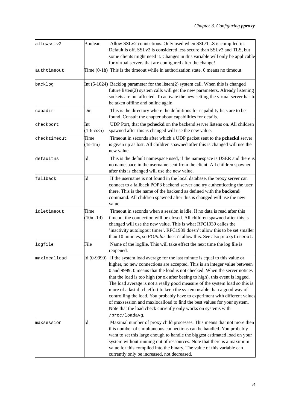| allowsslv2   | Boolean            | Allow SSLv2 connections. Only used when SSL/TLS is compiled in.<br>Default is off. SSLv2 is considered less secure than SSLv3 and TLS, but<br>some clients might need it. Changes in this variable will only be applicable<br>for virtual servers that are configured after the change!                                                                                                                                                                                                                                                                                                                                                                                                                                     |
|--------------|--------------------|-----------------------------------------------------------------------------------------------------------------------------------------------------------------------------------------------------------------------------------------------------------------------------------------------------------------------------------------------------------------------------------------------------------------------------------------------------------------------------------------------------------------------------------------------------------------------------------------------------------------------------------------------------------------------------------------------------------------------------|
| authtimeout  |                    | Time $(0-1h)$ This is the timeout while in authorization state. 0 means no timeout.                                                                                                                                                                                                                                                                                                                                                                                                                                                                                                                                                                                                                                         |
| backlog      |                    | Int $(5-1024)$ Backlog parameter for the listen(2) system call. When this is changed<br>future listen(2) system calls will get the new parameters. Already listening<br>sockets are not affected. To activate the new setting the virtual server has to<br>be taken offline and online again.                                                                                                                                                                                                                                                                                                                                                                                                                               |
| capadir      | Dir                | This is the directory where the definitions for capability lists are to be<br>found. Consult the chapter about capabilities for details.                                                                                                                                                                                                                                                                                                                                                                                                                                                                                                                                                                                    |
| checkport    | Int<br>$(1-65535)$ | UDP Port, that the <b>pcheckd</b> on the backend server listens on. All children<br>spawned after this is changed will use the new value.                                                                                                                                                                                                                                                                                                                                                                                                                                                                                                                                                                                   |
| checktimeout | Time<br>$(1s-1m)$  | Timeout in seconds after which a UDP packet sent to the pcheckd server<br>is given up as lost. All children spawned after this is changed will use the<br>new value.                                                                                                                                                                                                                                                                                                                                                                                                                                                                                                                                                        |
| defaultns    | Id                 | This is the default namespace used, if the namespace is USER and there is<br>no namespace in the username sent from the client. All children spawned<br>after this is changed will use the new value.                                                                                                                                                                                                                                                                                                                                                                                                                                                                                                                       |
| fallback     | Id                 | If the username is not found in the local database, the proxy server can<br>connect to a fallback POP3 backend server and try authenticating the user<br>there. This is the name of the backend as defined with the <b>backend</b><br>command. All children spawned after this is changed will use the new<br>value.                                                                                                                                                                                                                                                                                                                                                                                                        |
| idletimeout  | Time<br>$(10m-1d)$ | Timeout in seconds when a session is idle. If no data is read after this<br>timeout the connection will be closed. All children spawned after this is<br>changed will use the new value. This is what RFC1939 calles the<br>inactivity autologout timer'. RFC1939 doesn't allow this to be set smaller<br>than 10 minutes, so <i>POPular</i> doesn't allow this. See also proxytimeout.                                                                                                                                                                                                                                                                                                                                     |
| logfile      | File               | Name of the logfile. This will take effect the next time the log file is<br>reopened.                                                                                                                                                                                                                                                                                                                                                                                                                                                                                                                                                                                                                                       |
| maxlocalload | Id (0-9999)        | If the system load average for the last minute is equal to this value or<br>higher, no new connections are accepted. This is an integer value between<br>0 and 9999. 0 means that the load is not checked. When the server notices<br>that the load is too high (or ok after beeing to high), this event is logged.<br>The load average is not a really good measure of the system load so this is<br>more of a last ditch effort to keep the system usable than a good way of<br>controlling the load. You probably have to experiment with different values<br>of maxsession and maxlocalload to find the best values for your system.<br>Note that the load check currently only works on systems with<br>/proc/loadavg. |
| maxsession   | Id                 | Maximal number of proxy child processes. This means that not more then<br>this number of simultaneous connections can be handled. You probably<br>want to set this large enough to handle the biggest estimated load on your<br>system without running out of ressources. Note that there is a maximum<br>value for this compiled into the binary. The value of this variable can<br>currently only be increased, not decreased.                                                                                                                                                                                                                                                                                            |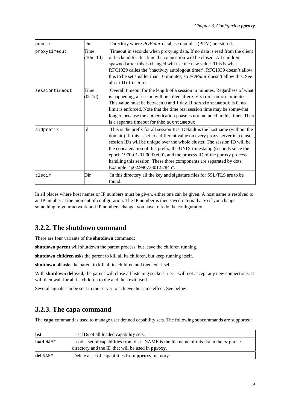| pdmdir         | Dir                | Directory where <i>POPular</i> database modules (PDM) are stored.                                                                                                                                                                                                                                                                                                                                                                                                                                            |
|----------------|--------------------|--------------------------------------------------------------------------------------------------------------------------------------------------------------------------------------------------------------------------------------------------------------------------------------------------------------------------------------------------------------------------------------------------------------------------------------------------------------------------------------------------------------|
| proxytimeout   | Time<br>$(10m-1d)$ | Timeout in seconds when proxying data. If no data is read from the client<br>or backend for this time the connection will be closed. All children<br>spawned after this is changed will use the new value. This is what<br>RFC1939 calles the 'inactivity autologout timer'. RFC1939 doesn't allow<br>this to be set smaller than 10 minutes, so <i>POPular</i> doesn't allow this. See<br>also idletimeout.                                                                                                 |
| sessiontimeout | Time<br>$(0s-1d)$  | Overall timeout for the length of a session in minutes. Regardless of what<br>is happening, a session will be killed after sessiontimeout minutes.<br>This value must be between $0$ and $1$ day. If sessiontimeout is $0$ , no<br>limit is enforced. Note that the time real session time may be somewhat<br>longer, because the authentication phase is not included in this timer. There<br>is a separate timeout for this: authtimeout.                                                                  |
| sidprefix      | Id                 | This is the prefix for all session IDs. Default is the hostname (without the<br>domain). If this is set to a different value on every proxy server in a cluster,<br>session IDs will be unique over the whole cluster. The session ID will be<br>the concatenation of this prefix, the UNIX timestamp (seconds since the<br>epoch $1970-01-01 00:00:00$ , and the process ID of the pproxy process<br>handling this session. These three components are separated by dots.<br>Example: "p02.990738012.7845". |
| tlsdir         | Dir                | In this directory all the key and signature files for SSL/TLS are to be<br>found.                                                                                                                                                                                                                                                                                                                                                                                                                            |

In all places where host names or IP numbers must be given, either one can be given. A host name is resolved to an IP number at the moment of configuration. The IP number is then saved internally. So if you change something in your network and IP numbers change, you have to redo the configuration.

### <span id="page-16-0"></span>**3.2.2. The shutdown command**

There are four variants of the **shutdown** command:

**shutdown parent** will shutdown the parent process, but leave the children running.

**shutdown children** asks the parent to kill all its children, but keep running itself.

**shutdown all** asks the parent to kill all its children and then exit itself.

With **shutdown delayed**, the parent will close all listening sockets, i.e. it will not accept any new connections. It will then wait for all its children to die and then exit itself.

<span id="page-16-1"></span>Several signals can be sent to the server to achieve the same effect. See [below.](#page-21-1)

## **3.2.3. The capa command**

The **capa** command is used to manage user defined capability sets. The following subcommands are supported:

| list      | List IDs of all loaded capability sets.                                                 |
|-----------|-----------------------------------------------------------------------------------------|
| load NAME | Load a set of capabilities from disk. NAME is the file name of this list in the capadir |
|           | directory and the ID that will be used in <b>pproxy</b> .                               |
| del NAME  | Delete a set of capabilities from <b>pproxy</b> memory.                                 |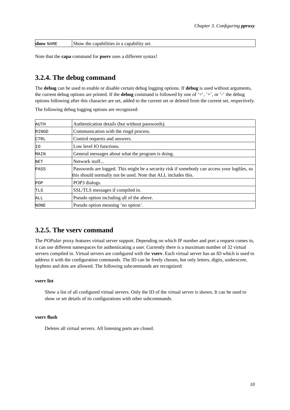| show<br>NAME | capability set.<br>capabilities<br>the<br>now<br>m<br>а |
|--------------|---------------------------------------------------------|
|--------------|---------------------------------------------------------|

<span id="page-17-0"></span>Note that the **capa** command for **pserv** uses a different syntax!

### **3.2.4. The debug command**

The **debug** can be used to enable or disable certain debug logging options. If **debug** is used without arguments, the current debug options are printed. If the **debug** command is followed by one of '=', '+', or '-' the debug options following after this character are set, added to the current set or deleted from the current set, respectively.

| AUTH        | Authentication details (but without passwords).                                                                                                                |
|-------------|----------------------------------------------------------------------------------------------------------------------------------------------------------------|
| RINGD       | Communication with the ringd process.                                                                                                                          |
| <b>CTRL</b> | Control requests and answers.                                                                                                                                  |
| ΙO          | Low level IO functions.                                                                                                                                        |
| MAIN        | General messages about what the program is doing.                                                                                                              |
| NET         | Network stuff                                                                                                                                                  |
| PASS        | Passwords are logged. This might be a security risk if somebody can access your logfiles, so<br>this should normally not be used. Note that ALL includes this. |
| POP         | POP3 dialogs.                                                                                                                                                  |
| <b>TLS</b>  | SSL/TLS messages if compiled in.                                                                                                                               |
| ALL         | Pseudo option including all of the above.                                                                                                                      |
| NONE        | Pseudo option meaning 'no option'.                                                                                                                             |

The following debug logging options are recognized:

### <span id="page-17-1"></span>**3.2.5. The vserv command**

The *POPular* proxy features virtual server support. Depending on which IP number and port a request comes in, it can use different namespaces for authenticating a user. Currently there is a maximum number of 32 virtual servers compiled in. Virtual servers are configured with the **vserv**. Each virtual server has an ID which is used to address it with the configuration commands. The ID can be freely chosen, but only letters, digits, underscore, hyphens and dots are allowed. The following subcommands are recognized:

#### **vserv list**

Show a list of all configured virtual servers. Only the ID of the virtual server is shown. It can be used to show or set details of its configurations with other subcommands.

#### **vserv flush**

Deletes all virtual servers. All listening ports are closed.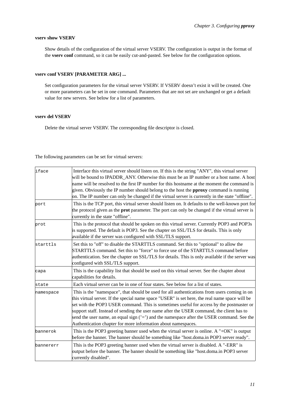#### **vserv show VSERV**

Show details of the configuration of the virtual server VSERV. The configuration is output in the format of the **vserv conf** command, so it can be easily cut-and-pasted. See below for the configuration options.

#### **vserv conf VSERV [PARAMETER ARG] ...**

Set configuration parameters for the virtual server VSERV. If VSERV doesn't exist it will be created. One or more parameters can be set in one command. Parameters that are not set are unchanged or get a default value for new servers. See below for a list of parameters.

#### **vserv del VSERV**

Delete the virtual server VSERV. The corresponding file descriptor is closed.

The following parameters can be set for virtual servers:

| iface     | Interface this virtual server should listen on. If this is the string "ANY", this virtual server<br>will be bound to IPADDR_ANY. Otherwise this must be an IP number or a host name. A host<br>name will be resolved to the first IP number for this hostname at the moment the command is<br>given. Obviously the IP number should belong to the host the <b>pproxy</b> command is running<br>on. The IP number can only be changed if the virtual server is currently in the state "offline".                                                        |
|-----------|--------------------------------------------------------------------------------------------------------------------------------------------------------------------------------------------------------------------------------------------------------------------------------------------------------------------------------------------------------------------------------------------------------------------------------------------------------------------------------------------------------------------------------------------------------|
| port      | This is the TCP port, this virtual server should listen on. It defaults to the well-known port for<br>the protocol given as the <b>prot</b> parameter. The port can only be changed if the virtual server is<br>currently in the state "offline".                                                                                                                                                                                                                                                                                                      |
| prot      | This is the protocol that should be spoken on this virtual server. Currently POP3 and POP3s<br>is supported. The default is POP3. See the chapter on SSL/TLS for details. This is only<br>available if the server was configured with SSL/TLS support.                                                                                                                                                                                                                                                                                                 |
| starttls  | Set this to "off" to disable the STARTTLS command. Set this to "optional" to allow the<br>STARTTLS command. Set this to "force" to force use of the STARTTLS command before<br>authentication. See the chapter on SSL/TLS for details. This is only available if the server was<br>configured with SSL/TLS support.                                                                                                                                                                                                                                    |
| capa      | This is the capability list that should be used on this virtual server. See the chapter about<br>capabilities for details.                                                                                                                                                                                                                                                                                                                                                                                                                             |
| lstate    | Each virtual server can be in one of four states. See below for a list of states.                                                                                                                                                                                                                                                                                                                                                                                                                                                                      |
| hamespace | This is the "namespace", that should be used for all authentications from users coming in on<br>this virtual server. If the special name space "USER" is set here, the real name space will be<br>set with the POP3 USER command. This is sometimes useful for access by the postmaster or<br>support staff. Instead of sending the user name after the USER command, the client has to<br>send the user name, an equal sign $(2i)$ and the namespace after the USER command. See the<br>Authentication chapter for more information about namespaces. |
| bannerok  | This is the POP3 greeting banner used when the virtual server is online. A "+OK" is output<br>before the banner. The banner should be something like "host.doma.in POP3 server ready".                                                                                                                                                                                                                                                                                                                                                                 |
| bannererr | This is the POP3 greeting banner used when the virtual server is disabled. A "-ERR" is<br>output before the banner. The banner should be something like "host.doma.in POP3 server<br>currently disabled".                                                                                                                                                                                                                                                                                                                                              |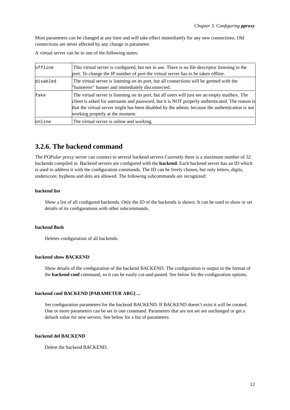Most parameters can be changed at any time and will take effect immediately for any new connections. Old connections are never affected by any change in parameter.

A virtual server can be in one of the following states:

| offline  | This virtual server is configured, but not in use. There is no file descriptor listening to the<br>port. To change the IP number of port the virtual server has to be taken offline.                                                                                                                                                   |
|----------|----------------------------------------------------------------------------------------------------------------------------------------------------------------------------------------------------------------------------------------------------------------------------------------------------------------------------------------|
| disabled | The virtual server is listening on its port, but all connections will be greeted with the<br>"bannererr" banner and immediately disconnected.                                                                                                                                                                                          |
| fake     | The virtual server is listening on its port, but all users will just see an empty mailbox. The<br>client is asked for username and password, but it is NOT properly authenticated. The reason is<br>that the virtual server might has been disabled by the admin, because the authentication is not<br>working properly at the moment. |
| online   | The virtual server is online and working.                                                                                                                                                                                                                                                                                              |

### <span id="page-19-0"></span>**3.2.6. The backend command**

The *POPular* proxy server can connect to several backend servers Currently there is a maximum number of 32 backends compiled in. Backend servers are configured with the **backend**. Each backend server has an ID which is used to address it with the configuration commands. The ID can be freely chosen, but only letters, digits, underscore, hyphens and dots are allowed. The following subcommands are recognized:

#### **backend list**

Show a list of all configured backends. Only the ID of the backends is shown. It can be used to show or set details of its configurations with other subcommands.

#### **backend flush**

Deletes configuration of all backends.

#### **backend show BACKEND**

Show details of the configuration of the backend BACKEND. The configuration is output in the format of the **backend conf** command, so it can be easily cut-and-pasted. See below for the configuration options.

#### **backend conf BACKEND [PARAMETER ARG] ...**

Set configuration parameters for the backend BACKEND. If BACKEND doesn't exist it will be created. One or more parameters can be set in one command. Parameters that are not set are unchanged or get a default value for new servers. See below for a list of parameters.

#### **backend del BACKEND**

Delete the backend BACKEND.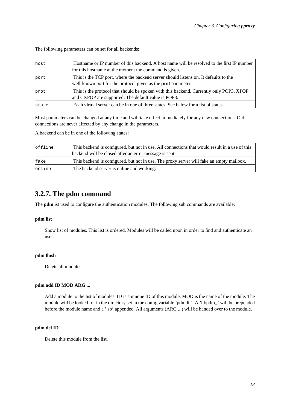| host  | Hostname or IP number of this backend. A host name will be resolved to the first IP number<br>for this hostname at the moment the command is given.          |
|-------|--------------------------------------------------------------------------------------------------------------------------------------------------------------|
| port  | This is the TCP port, where the backend server should listens on. It defaults to the<br>well-known port for the protocol given as the <b>prot</b> parameter. |
| prot  | This is the protocol that should be spoken with this backend. Currently only POP3, XPOP<br>and CXPOP are supported. The default value is POP3.               |
| state | Each virtual server can be in one of three states. See below for a list of states.                                                                           |

The following parameters can be set for all backends:

Most parameters can be changed at any time and will take effect immediately for any new connections. Old connections are never affected by any change in the parameters.

A backend can be in one of the following states:

| $\textsf{define}$ | This backend is configured, but not in use. All connections that would result in a use of this |  |
|-------------------|------------------------------------------------------------------------------------------------|--|
|                   | backend will be closed after an error message is sent.                                         |  |
| fake              | This backend is configured, but not in use. The proxy server will fake an empty mailbox.       |  |
| online            | The backend server is online and working.                                                      |  |

### <span id="page-20-0"></span>**3.2.7. The pdm command**

The **pdm** ist used to configure the authentication modules. The following sub commands are available:

#### **pdm list**

Show list of modules. This list is ordered. Modules will be called upon in order to find and authenticate an user.

#### **pdm flush**

Delete all modules.

#### **pdm add ID MOD ARG ...**

Add a module to the list of modules. ID is a unique ID of this module. MOD is the name of the module. The module will be looked for in the directory set in the config variable 'pdmdir'. A 'libpdm\_' will be prepended before the module name and a '.so' appended. All arguments (ARG ...) will be handed over to the module.

#### **pdm del ID**

Delete this module from the list.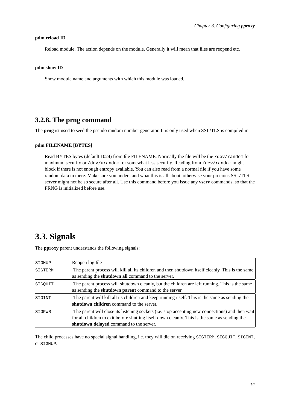#### **pdm reload ID**

Reload module. The action depends on the module. Generally it will mean that files are reopend etc.

#### **pdm show ID**

Show module name and arguments with which this module was loaded.

### <span id="page-21-0"></span>**3.2.8. The prng command**

The **prng** ist used to seed the pseudo random number generator. It is only used when SSL/TLS is compiled in.

#### **pdm FILENAME [BYTES]**

Read BYTES bytes (default 1024) from file FILENAME. Normally the file will be the /dev/random for maximum security or /dev/urandom for somewhat less security. Reading from /dev/random might block if there is not enough entropy available. You can also read from a normal file if you have some random data in there. Make sure you understand what this is all about, otherwise your precious SSL/TLS server might not be so secure after all. Use this command before you issue any **vserv** commands, so that the PRNG is initialized before use.

## <span id="page-21-1"></span>**3.3. Signals**

The **pproxy** parent understands the following signals:

| SIGHUP  | Reopen log file                                                                                                                                                                                                                             |
|---------|---------------------------------------------------------------------------------------------------------------------------------------------------------------------------------------------------------------------------------------------|
| SIGTERM | The parent process will kill all its children and then shutdown itself cleanly. This is the same<br>as sending the <b>shutdown all</b> command to the server.                                                                               |
| SIGOUIT | The parent process will shutdown cleanly, but the children are left running. This is the same<br>as sending the <b>shutdown parent</b> command to the server.                                                                               |
| SIGINT  | The parent will kill all its children and keep running itself. This is the same as sending the<br>shutdown children command to the server.                                                                                                  |
| SIGPWR  | The parent will close its listening sockets (i.e. stop accepting new connections) and then wait<br>for all children to exit before shutting itself down cleanly. This is the same as sending the<br>shutdown delayed command to the server. |

The child processes have no special signal handling, i.e. they will die on receiving SIGTERM, SIGQUIT, SIGINT, or SIGHUP.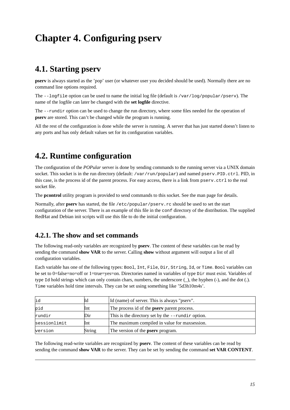# <span id="page-22-0"></span>**Chapter 4. Configuring pserv**

## <span id="page-22-1"></span>**4.1. Starting pserv**

**pserv** is always started as the 'pop' user (or whatever user you decided should be used). Normally there are no command line options required.

The  $-\text{logfile}$  option can be used to name the initial log file (default is /var/log/popular/pserv). The name of the logfile can later be changed with the **set logfile** directive.

The --rundir option can be used to change the run directory, where some files needed for the operation of **pserv** are stored. This can't be changed while the program is running.

<span id="page-22-2"></span>All the rest of the configuration is done while the server is running. A server that has just started doesn't listen to any ports and has only default values set for its configuration variables.

## **4.2. Runtime configuration**

The configuration of the *POPular* server is done by sending commands to the running server via a UNIX domain socket. This socket is in the run directory (default: /var/run/popular) and named pserv.PID.ctrl. PID, in this case, is the process id of the parent process. For easy access, there is a link from pserv.ctrl to the real socket file.

The **pcontrol** utility program is provided to send commands to this socket. See the [man page](#page-48-0) for details.

Normally, after **pserv** has started, the file /etc/popular/pserv.rc should be used to set the start configuration of the server. There is an example of this file in the conf directory of the distribution. The supplied RedHat and Debian init scripts will use this file to do the initial configuration.

### <span id="page-22-3"></span>**4.2.1. The show and set commands**

The following read-only variables are recognized by **pserv**. The content of these variables can be read by sending the command **show VAR** to the server. Calling **show** without argument will output a list of all configuration variables.

Each variable has one of the following types: Bool, Int, File, Dir, String, Id, or Time. Bool variables can be set to 0=false=no=off or 1=true=yes=on. Directories named in variables of type Dir must exist. Variables of type Id hold strings which can only contain chars, numbers, the underscore (\_), the hyphen (-), and the dot (.). Time variables hold time intervals. They can be set using something like '5d3h10m4s'.

| id           | Иd     | Id (name) of server. This is always "pserv".         |
|--------------|--------|------------------------------------------------------|
| pid          | Int    | The process id of the <b>pserv</b> parent process.   |
| rundir       | Dir    | This is the directory set by the $-$ -rundir option. |
| sessionlimit | Int    | The maximum compiled in value for maxsession.        |
| version      | String | The version of the <b>pserv</b> program.             |

The following read-write variables are recognized by **pserv**. The content of these variables can be read by sending the command **show VAR** to the server. They can be set by sending the command **set VAR CONTENT**.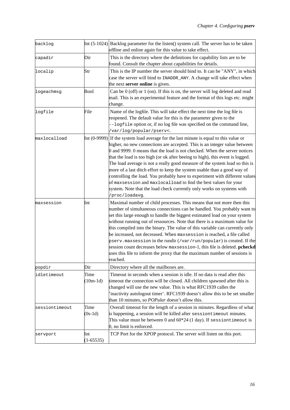| backlog        |                    | Int $(5-1024)$ Backlog parameter for the listen() system call. The server has to be taken<br>offline and online again for this value to take effect.                                                                                                                                                                                                                                                                                                                                                                                                                                                                                                                                                                                       |
|----------------|--------------------|--------------------------------------------------------------------------------------------------------------------------------------------------------------------------------------------------------------------------------------------------------------------------------------------------------------------------------------------------------------------------------------------------------------------------------------------------------------------------------------------------------------------------------------------------------------------------------------------------------------------------------------------------------------------------------------------------------------------------------------------|
| capadir        | Dir                | This is the directory where the definitions for capability lists are to be<br>found. Consult the chapter about capabilities for details.                                                                                                                                                                                                                                                                                                                                                                                                                                                                                                                                                                                                   |
| localip        | Str                | This is the IP number the server should bind to. It can be "ANY", in which<br>case the server will bind to INADDR_ANY. A change will take effect when<br>the next server online is given.                                                                                                                                                                                                                                                                                                                                                                                                                                                                                                                                                  |
| logeachmsg     | Bool               | Can be $0$ (off) or $1$ (on). If this is on, the server will log deleted and read<br>mail. This is an experimental feature and the format of this logs etc. might<br>change.                                                                                                                                                                                                                                                                                                                                                                                                                                                                                                                                                               |
| logfile        | File               | Name of the logfile. This will take effect the next time the log file is<br>reopened. The default value for this is the parameter given to the<br>--logfile option or, if no log file was specified on the command line,<br>/var/log/popular/pserv<.                                                                                                                                                                                                                                                                                                                                                                                                                                                                                       |
| maxlocalload   |                    | Int $(0-9999)$ If the system load average for the last minute is equal to this value or<br>higher, no new connections are accepted. This is an integer value between<br>0 and 9999. 0 means that the load is not checked. When the server notices<br>that the load is too high (or ok after beeing to high), this event is logged.<br>The load average is not a really good measure of the system load so this is<br>more of a last ditch effort to keep the system usable than a good way of<br>controlling the load. You probably have to experiment with different values<br>of maxsession and maxlocalload to find the best values for your<br>system. Note that the load check currently only works on systems with<br>/proc/loadavg. |
| maxsession     | Int                | Maximal number of child processes. This means that not more then this<br>number of simultaneous connections can be handled. You probably want to<br>set this large enough to handle the biggest estimated load on your system<br>without running out of ressources. Note that there is a maximum value for<br>this compiled into the binary. The value of this variable can currently only<br>be increased, not decreased. When maxsession is reached, a file called<br>$_{\rm pserv.}$ maxsession in the rundir (/var/run/popular) is created. If the<br>session count decreases below maxsession-1, this file is deleted. pcheckd<br>uses this file to inform the proxy that the maximum number of sessions is<br>reached.               |
| popdir         | Dir                | Directory where all the mailboxes are.                                                                                                                                                                                                                                                                                                                                                                                                                                                                                                                                                                                                                                                                                                     |
| idletimeout    | Time<br>$(10m-1d)$ | Timeout in seconds when a session is idle. If no data is read after this<br>timeout the connection will be closed. All children spawned after this is<br>changed will use the new value. This is what RFC1939 calles the<br>inactivity autologout timer'. RFC1939 doesn't allow this to be set smaller<br>than 10 minutes, so <i>POPular</i> doesn't allow this.                                                                                                                                                                                                                                                                                                                                                                           |
| sessiontimeout | Time<br>$(0s-1d)$  | Overall timeout for the length of a session in minutes. Regardless of what<br>is happening, a session will be killed after sessiontimeout minutes.<br>This value must be between 0 and $60*24$ (1 day). If sessiontimeout is<br>$0$ , no limit is enforced.                                                                                                                                                                                                                                                                                                                                                                                                                                                                                |
| servport       | Int<br>$(1-65535)$ | TCP Port for the XPOP protocol. The server will listen on this port.                                                                                                                                                                                                                                                                                                                                                                                                                                                                                                                                                                                                                                                                       |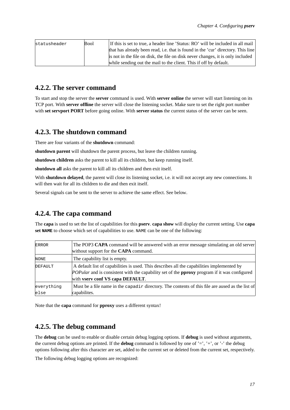| statusheader | <b>Bool</b> | If this is set to true, a header line 'Status: RO' will be included in all mail  |
|--------------|-------------|----------------------------------------------------------------------------------|
|              |             | that has already been read, i.e. that is found in the 'cur' directory. This line |
|              |             | is not in the file on disk, the file on disk never changes, it is only included  |
|              |             | while sending out the mail to the client. This if off by default.                |

### <span id="page-24-0"></span>**4.2.2. The server command**

To start and stop the server the **server** command is used. With **server online** the server will start listening on its TCP port. With **server offline** the server will close the listening socket. Make sure to set the right port number with **set servport PORT** before going online. With **server status** the current status of the server can be seen.

### <span id="page-24-1"></span>**4.2.3. The shutdown command**

There are four variants of the **shutdown** command:

**shutdown parent** will shutdown the parent process, but leave the children running.

**shutdown children** asks the parent to kill all its children, but keep running itself.

**shutdown all** asks the parent to kill all its children and then exit itself.

With **shutdown delayed**, the parent will close its listening socket, i.e. it will not accept any new connections. It will then wait for all its children to die and then exit itself.

<span id="page-24-2"></span>Several signals can be sent to the server to achieve the same effect. See [below.](#page-25-0)

### **4.2.4. The capa command**

The **capa** is used to set the list of capabilities for this **pserv**. **capa show** will display the current setting. Use **capa set NAME** to choose which set of capabilities to use. NAME can be one of the following:

| <b>ERROR</b> | The POP3 CAPA command will be answered with an error message simulating an old server                      |  |
|--------------|------------------------------------------------------------------------------------------------------------|--|
|              | without support for the CAPA command.                                                                      |  |
| NONE         | The capability list is empty.                                                                              |  |
| DEFAULT      | A default list of capabilities is used. This describes all the capabilities implemented by                 |  |
|              | <i>POPular</i> and is consistent with the capability set of the <b>pproxy</b> program if it was configured |  |
|              | with vserv conf VS capa DEFAULT.                                                                           |  |
| everything   | Must be a file name in the capadix directory. The contents of this file are aused as the list of           |  |
| else         | capabilites.                                                                                               |  |

<span id="page-24-3"></span>Note that the **capa** command for **pproxy** uses a different syntax!

### **4.2.5. The debug command**

The **debug** can be used to enable or disable certain debug logging options. If **debug** is used without arguments, the current debug options are printed. If the **debug** command is followed by one of '=', '+', or '-' the debug options following after this character are set, added to the current set or deleted from the current set, respectively.

The following debug logging options are recognized: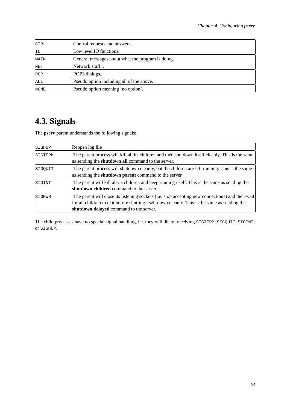| <b>CTRL</b> | Control requests and answers.                     |
|-------------|---------------------------------------------------|
| ΙIΟ         | Low level IO functions.                           |
| MAIN        | General messages about what the program is doing. |
| NET         | Network stuff                                     |
| POP         | POP3 dialogs.                                     |
| ALL         | Pseudo option including all of the above.         |
| <b>NONE</b> | Pseudo option meaning 'no option'.                |

# <span id="page-25-0"></span>**4.3. Signals**

The **pserv** parent understands the following signals:

| SIGHUP         | Reopen log file                                                                                                                                                                                                                             |
|----------------|---------------------------------------------------------------------------------------------------------------------------------------------------------------------------------------------------------------------------------------------|
| <b>SIGTERM</b> | The parent process will kill all its children and then shutdown itself cleanly. This is the same<br>as sending the <b>shutdown all</b> command to the server.                                                                               |
| SIGOUIT        | The parent process will shutdown cleanly, but the children are left running. This is the same<br>as sending the <b>shutdown parent</b> command to the server.                                                                               |
| SIGINT         | The parent will kill all its children and keep running itself. This is the same as sending the<br>shutdown children command to the server.                                                                                                  |
| SIGPWR         | The parent will close its listening sockets (i.e. stop accepting new connections) and then wait<br>for all children to exit before shutting itself down cleanly. This is the same as sending the<br>shutdown delayed command to the server. |

The child processes have no special signal handling, i.e. they will die on receiving SIGTERM, SIGQUIT, SIGINT, or SIGHUP.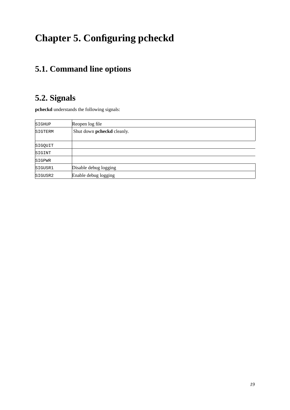# <span id="page-26-0"></span>**Chapter 5. Configuring pcheckd**

## <span id="page-26-1"></span>**5.1. Command line options**

## <span id="page-26-2"></span>**5.2. Signals**

**pcheckd** understands the following signals:

| SIGHUP  | Reopen log file            |
|---------|----------------------------|
| SIGTERM | Shut down pcheckd cleanly. |
|         |                            |
| SIGQUIT |                            |
| SIGINT  |                            |
| SIGPWR  |                            |
| SIGUSR1 | Disable debug logging      |
| SIGUSR2 | Enable debug logging       |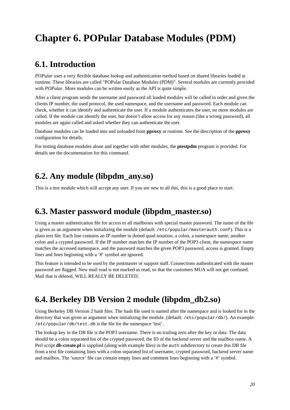# <span id="page-27-0"></span>**Chapter 6. POPular Database Modules (PDM)**

## <span id="page-27-1"></span>**6.1. Introduction**

*POPular* uses a very flexible database lookup and authentication method based on shared libraries loaded at runtime. These libraries are called "POPular Database Modules (PDM)". Several modules are currently provided with *POPular*. More modules can be written easily as the API is quite simple.

After a client program sends the username and password all loaded modules will be called in order and given the clients IP number, the used protocol, the used namespace, and the username and password. Each module can check, whether it can identify and authenticate the user. If a module authenticates the user, no more modules are called. If the module can identify the user, but doesn't allow access for any reason (like a wrong password), all modules are again called and asked whether they can authenticate the user.

Database modules can be loaded into and unloaded from **pproxy** at runtime. See the description of the **pproxy** configuration for details.

<span id="page-27-2"></span>For testing database modules alone and together with other modules, the **ptestpdm** program is provided. For details see the documentation for this command.

## **6.2. Any module (libpdm\_any.so)**

<span id="page-27-3"></span>This is a test module which will accept any user. If you are new to all this, this is a good place to start.

## **6.3. Master password module (libpdm\_master.so)**

Using a master authentication file for access to all mailboxes with special master password. The name of the file is given as an argument when initializing the module (default: /etc/popular/masterauth.conf). This is a plain text file. Each line contains an IP number in dotted quad notation, a colon, a namespace name, another colon and a crypted password. If the IP number matches the IP number of the POP3 client, the namespace name matches the accessed namespace, and the password matches the given POP3 password, access is granted. Empty lines and lines beginning with a '#' symbol are ignored.

This feature is intended to be used by the postmaster or support staff. Connections authenticated with the master password are flagged. New mail read is not marked as read, so that the customers MUA will not get confused. Mail that is deleted, WILL REALLY BE DELETED.

## <span id="page-27-4"></span>**6.4. Berkeley DB Version 2 module (libpdm\_db2.so)**

Using Berkeley DB Version 2 hash files. The hash file used is named after the namespace and is looked for in the directory that was given as argument when initializing the module. (default: /etc/popular/db/). An example: /etc/popular/db/test.db is the file for the namespace 'test'.

The lookup key in the DB file is the POP3 username. There is no trailing zero after the key or data. The data should be a colon separated list of the crypted password, the ID of the backend server and the mailbox name. A Perl script **db-create.pl** is supplied (along with example files) in the auth subdirectory to create this DB file from a text file containing lines with a colon separated list of username, crypted password, backend server name and mailbox. The 'source' file can contain empty lines and comment lines beginning with a '#' symbol.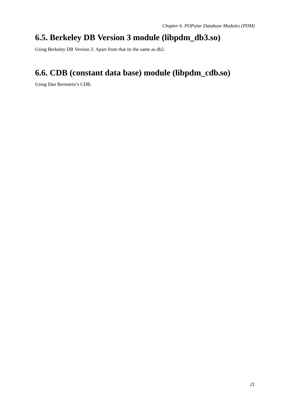## <span id="page-28-0"></span>**6.5. Berkeley DB Version 3 module (libpdm\_db3.so)**

<span id="page-28-1"></span>Using Berkeley DB Version 3. Apart from that its the same as db2.

## **6.6. CDB (constant data base) module (libpdm\_cdb.so)**

Using Dan Bernstein's CDB.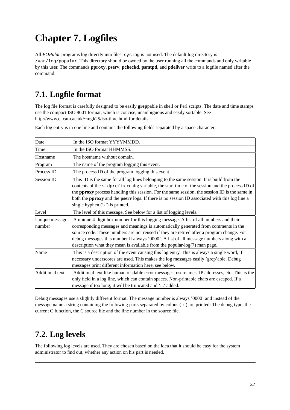# <span id="page-29-0"></span>**Chapter 7. Logfiles**

All *POPular* programs log directly into files. syslog is not used. The default log directory is /var/log/popular. This directory should be owned by the user running all the commands and only writable by this user. The commands **pproxy**, **pserv**, **pcheckd**, **psmtpd**, and **pdeliver** write to a logfile named after the command.

## <span id="page-29-1"></span>**7.1. Logfile format**

The log file format is carefully designed to be easily **grep**pable in shell or Perl scripts. The date and time stamps use the compact ISO 8601 format, which is concise, unambiguous and easily sortable. See http://www.cl.cam.ac.uk/~mgk25/iso-time.html for details.

Each log entry is in one line and contains the following fields separated by a space character:

| Date                     | In the ISO format YYYYMMDD.                                                                                                                                                                                                                                                                                                                                                                                                                          |  |
|--------------------------|------------------------------------------------------------------------------------------------------------------------------------------------------------------------------------------------------------------------------------------------------------------------------------------------------------------------------------------------------------------------------------------------------------------------------------------------------|--|
| Time                     | In the ISO format HHMMSS.                                                                                                                                                                                                                                                                                                                                                                                                                            |  |
| Hostname                 | The hostname without domain.                                                                                                                                                                                                                                                                                                                                                                                                                         |  |
| Program                  | The name of the program logging this event.                                                                                                                                                                                                                                                                                                                                                                                                          |  |
| Process ID               | The process ID of the program logging this event.                                                                                                                                                                                                                                                                                                                                                                                                    |  |
| Session ID               | This ID is the same for all log lines belonging to the same session. It is build from the<br>contents of the sidprefix config variable, the start time of the session and the process ID of<br>the pproxy process handling this session. For the same session, the session ID is the same in<br>both the <b>pproxy</b> and the <b>pserv</b> logs. If there is no session ID associated with this log line a<br>single hyphen $('')$ is printed.      |  |
| Level                    | The level of this message. See below for a list of logging levels.                                                                                                                                                                                                                                                                                                                                                                                   |  |
| Unique message<br>number | A unique 4-digit hex number for this logging message. A list of all numbers and their<br>corresponding messages and meanings is automatically generated from comments in the<br>source code. These numbers are not reused if they are retired after a program change. For<br>debug messages this number if always '0000'. A list of all message numbers along with a<br>description what they mean is available from the popular- $log(7)$ man page. |  |
| Name                     | This is a description of the event causing this log entry. This is always a single word, if<br>necessary underscores are used. This makes the log messages easily 'grep'able. Debug<br>messages print different information here, see below.                                                                                                                                                                                                         |  |
| Additional text          | Additional text like human readable error messages, usernames, IP addresses, etc. This is the<br>only field in a log line, which can contain spaces. Non-printable chars are escaped. If a<br>message if too long, it will be truncated and '' added.                                                                                                                                                                                                |  |

Debug messages use a slightly different format: The message number is always '0000' and instead of the message name a string containing the following parts separated by colons (':') are printed: The debug type, the current C function, the C source file and the line number in the source file.

## <span id="page-29-2"></span>**7.2. Log levels**

The following log levels are used. They are chosen based on the idea that it should be easy for the system administrator to find out, whether any action on his part is needed.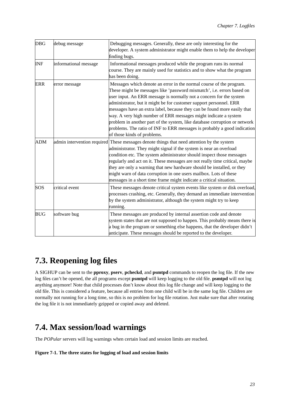| <b>DBG</b> | debug message         | Debugging messages. Generally, these are only interesting for the<br>developer. A system administrator might enable them to help the developer<br>finding bugs.                                                                                                                                                                                                                                                                                                                                                                                                                                                                    |
|------------|-----------------------|------------------------------------------------------------------------------------------------------------------------------------------------------------------------------------------------------------------------------------------------------------------------------------------------------------------------------------------------------------------------------------------------------------------------------------------------------------------------------------------------------------------------------------------------------------------------------------------------------------------------------------|
| <b>INF</b> | informational message | Informational messages produced while the program runs its normal<br>course. They are mainly used for statistics and to show what the program<br>has been doing.                                                                                                                                                                                                                                                                                                                                                                                                                                                                   |
| <b>ERR</b> | error message         | Messages which denote an error in the normal course of the program.<br>These might be messages like 'password mismatch', i.e. errors based on<br>user input. An ERR message is normally not a concern for the system<br>administrator, but it might be for customer support personnel. ERR<br>messages have an extra label, because they can be found more easily that<br>way. A very high number of ERR messages might indicate a system<br>problem in another part of the system, like database corruption or network<br>problems. The ratio of INF to ERR messages is probably a good indication<br>of those kinds of problems. |
| <b>ADM</b> |                       | admin intervention required These messages denote things that need attention by the system<br>administrator. They might signal if the system is near an overload<br>condition etc. The system administrator should inspect those messages<br>regularly and act on it. These messages are not really time critical, maybe<br>they are only a warning that new hardware should be installed, or they<br>might warn of data corruption in one users mailbox. Lots of these<br>messages in a short time frame might indicate a critical situation.                                                                                     |
| <b>SOS</b> | critical event        | These messages denote critical system events like system or disk overload,<br>processes crashing, etc. Generally, they demand an immediate intervention<br>by the system administrator, although the system might try to keep<br>running.                                                                                                                                                                                                                                                                                                                                                                                          |
| <b>BUG</b> | software bug          | These messages are produced by internal assertion code and denote<br>system states that are not supposed to happen. This probably means there is<br>a bug in the program or something else happens, that the developer didn't<br>anticipate. These messages should be reported to the developer.                                                                                                                                                                                                                                                                                                                                   |

## <span id="page-30-0"></span>**7.3. Reopening log files**

A SIGHUP can be sent to the **pproxy**, **pserv**, **pcheckd**, and **psmtpd** commands to reopen the log file. If the new log files can't be opened, the all programs except **psmtpd** will keep logging to the old file. **psmtpd** will not log anything anymore! Note that child processes don't know about this log file change and will keep logging to the old file. This is considered a feature, because all entries from one child will be in the same log file. Children are normally not running for a long time, so this is no problem for log file rotation. Just make sure that after rotating the log file it is not immediately gzipped or copied away and deleted.

## <span id="page-30-1"></span>**7.4. Max session/load warnings**

<span id="page-30-2"></span>The *POPular* servers will log warnings when certain load and session limits are reached.

#### **Figure 7-1. The three states for logging of load and session limits**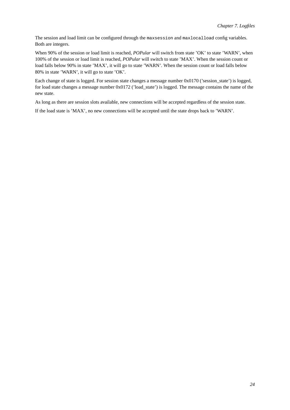The session and load limit can be configured through the maxsession and maxlocalload config variables. Both are integers.

When 90% of the session or load limit is reached, *POPular* will switch from state 'OK' to state 'WARN', when 100% of the session or load limit is reached, *POPular* will switch to state 'MAX'. When the session count or load falls below 90% in state 'MAX', it will go to state 'WARN'. When the session count or load falls below 80% in state 'WARN', it will go to state 'OK'.

Each change of state is logged. For session state changes a message number 0x0170 ('session\_state') is logged, for load state changes a message number 0x0172 ('load\_state') is logged. The message contains the name of the new state.

As long as there are session slots available, new connections will be accepted regardless of the session state.

If the load state is 'MAX', no new connections will be accepted until the state drops back to 'WARN'.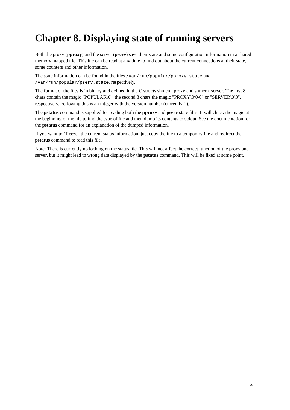# <span id="page-32-0"></span>**Chapter 8. Displaying state of running servers**

Both the proxy (**pproxy**) and the server (**pserv**) save their state and some configuration information in a shared memory mapped file. This file can be read at any time to find out about the current connections at their state, some counters and other information.

The state information can be found in the files /var/run/popular/pproxy.state and /var/run/popular/pserv.state, respectively.

The format of the files is in binary and defined in the C structs shmem\_proxy and shmem\_server. The first 8 chars contain the magic "POPULAR\0", the second 8 chars the magic "PROXY\0\0\0" or "SERVER\0\0", respectively. Following this is an integer with the version number (currently 1).

The **pstatus** command is supplied for reading both the **pproxy** and **pserv** state files. It will check the magic at the beginning of the file to find the type of file and then dump its contents to stdout. See the documentation for the **pstatus** command for an explanation of the dumped information.

If you want to "freeze" the current status information, just copy the file to a temporary file and redirect the **pstatus** command to read this file.

Note: There is currently no locking on the status file. This will not affect the correct function of the proxy and server, but it might lead to wrong data displayed by the **pstatus** command. This will be fixed at some point.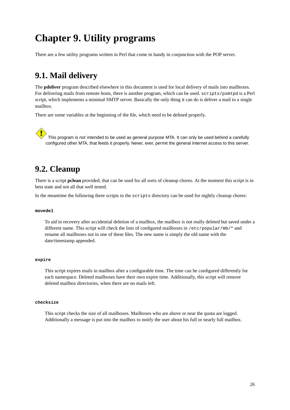# <span id="page-33-0"></span>**Chapter 9. Utility programs**

<span id="page-33-1"></span>There are a few utility programs written in Perl that come in handy in conjunction with the POP server.

## **9.1. Mail delivery**

The **pdeliver** program described elsewhere in this document is used for local delivery of mails into mailboxes. For delivering mails from remote hosts, there is another program, which can be used. scripts/psmtpd is a Perl script, which implements a minimal SMTP server. Basically the only thing it can do is deliver a mail to a single mailbox.

There are some variables at the beginning of the file, which need to be defined properly.

This program is not intended to be used as general purpose MTA. It can only be used behind a carefully configured other MTA, that feeds it properly. Never, ever, permit the general Internet access to this server.

## <span id="page-33-2"></span>**9.2. Cleanup**

There is a script **pclean** provided, that can be used for all sorts of cleanup chores. At the moment this script is in beta state and not all that well tested.

In the meantime the following three scripts in the scripts directory can be used for nightly cleanup chores:

#### **movedel**

To aid in recovery after accidential deletion of a mailbox, the mailbox is not really deleted but saved under a different name. This script will check the lists of configured mailboxes in /etc/popular/mb/\* and rename all mailboxes not in one of these files. The new name is simply the old name with the date/timestamp appended.

#### **expire**

This script expires mails in mailbox after a configurable time. The time can be configured differently for each namespace. Deleted mailboxes have their own expire time. Additionally, this script will remove deleted mailbox directories, when there are no mails left.

#### **checksize**

This script checks the size of all mailboxes. Mailboxes who are above or near the quota are logged. Additionally a message is put into the mailbox to notify the user about his full or nearly full mailbox.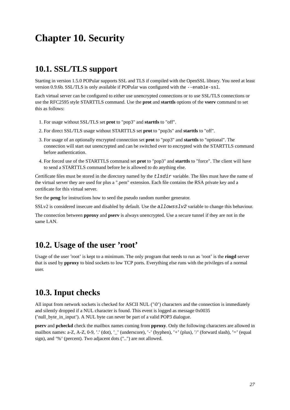# <span id="page-34-0"></span>**Chapter 10. Security**

## <span id="page-34-1"></span>**10.1. SSL/TLS support**

Starting in version 1.5.0 POPular supports SSL and TLS if compiled with the OpenSSL library. You need at least version 0.9.6b. SSL/TLS is only available if POPular was configured with the --enable-ssl.

Each virtual server can be configured to either use unencrypted connections or to use SSL/TLS connections or use the RFC2595 style STARTTLS command. Use the **prot** and **starttls** options of the **vserv** command to set this as follows:

- 1. For usage without SSL/TLS set **prot** to "pop3" and **starttls** to "off".
- 2. For direct SSL/TLS usage without STARTTLS set **prot** to "pop3s" and **starttls** to "off".
- 3. For usage of an optionally encrypted connection set **prot** to "pop3" and **starttls** to "optional". The connection will start out unencrypted and can be switched over to encrypted with the STARTTLS command before authentication.
- 4. For forced use of the STARTTLS command set **prot** to "pop3" and **starttls** to "force". The client will have to send a STARTTLS command before he is allowed to do anything else.

Certificate files must be stored in the directory named by the  $tlsdir$  variable. The files must have the name of the virtual server they are used for plus a ".pem" extension. Each file contains the RSA private key and a certificate for this virtual server.

See the **prng** for instructions how to seed the pseudo random number generator.

SSLv2 is considered insecure and disabled by default. Use the allowsslv2 variable to change this behaviour.

<span id="page-34-2"></span>The connection between **pproxy** and **pserv** is always unencrypted. Use a secure tunnel if they are not in the same LAN.

## **10.2. Usage of the user 'root'**

Usage of the user 'root' is kept to a minimum. The only program that needs to run as 'root' is the **ringd** server that is used by **pproxy** to bind sockets to low TCP ports. Everything else runs with the privileges of a normal user.

## <span id="page-34-3"></span>**10.3. Input checks**

All input from network sockets is checked for ASCII NUL  $('|0')$  characters and the connection is immediately and silently dropped if a NUL character is found. This event is logged as message 0x0035 ('null\_byte\_in\_input'). A NUL byte can never be part of a valid POP3 dialogue.

<span id="page-34-4"></span>**pserv** and **pcheckd** check the mailbox names coming from **pproxy**. Only the following characters are allowed in mailbox names: a-Z, A-Z, 0-9, '.' (dot), '\_' (underscore), '-' (hyphen), '+' (plus), '/' (forward slash), '=' (equal sign), and '%' (percent). Two adjacent dots ("..") are not allowed.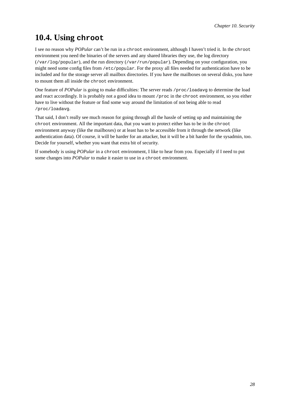## **10.4. Using chroot**

I see no reason why *POPular* can't be run in a chroot environment, although I haven't tried it. In the chroot environment you need the binaries of the servers and any shared libraries they use, the log directory

(/var/log/popular), and the run directory (/var/run/popular). Depending on your configuration, you might need some config files from /etc/popular. For the proxy all files needed for authentication have to be included and for the storage server all mailbox directories. If you have the mailboxes on several disks, you have to mount them all inside the chroot environment.

One feature of *POPular* is going to make difficulties: The server reads /proc/loadavg to determine the load and react accordingly. It is probably not a good idea to mount /proc in the chroot environment, so you either have to live without the feature or find some way around the limitation of not being able to read /proc/loadavg.

That said, I don't really see much reason for going through all the hassle of setting up and maintaining the chroot environment. All the important data, that you want to protect either has to be in the chroot environment anyway (like the mailboxes) or at least has to be accessible from it through the network (like authentication data). Of course, it will be harder for an attacker, but it will be a bit harder for the sysadmin, too. Decide for yourself, whether you want that extra bit of security.

If somebody is using *POPular* in a chroot environment, I like to hear from you. Especially if I need to put some changes into *POPular* to make it easier to use in a chroot environment.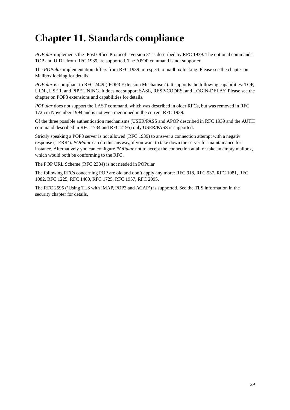# <span id="page-36-0"></span>**Chapter 11. Standards compliance**

*POPular* implements the 'Post Office Protocol - Version 3' as described by RFC 1939. The optional commands TOP and UIDL from RFC 1939 are supported. The APOP command is not supported.

The *POPular* implementation differs from RFC 1939 in respect to mailbox locking. Please see the chapter on [Mailbox locking](#page-39-0) for details.

*POPular* is compliant to RFC 2449 ('POP3 Extension Mechanism'). It supports the following capabilities: TOP, UIDL, USER, and PIPELINING. It does not support SASL, RESP-CODES, and LOGIN-DELAY. Please see the chapter on [POP3 extensions and capabilities](#page-40-1) for details.

*POPular* does not support the LAST command, which was described in older RFCs, but was removed in RFC 1725 in November 1994 and is not even mentioned in the current RFC 1939.

Of the three possible authentication mechanisms (USER/PASS and APOP described in RFC 1939 and the AUTH command described in RFC 1734 and RFC 2195) only USER/PASS is supported.

Strictly speaking a POP3 server is not allowed (RFC 1939) to answer a connection attempt with a negativ response ('-ERR'). *POPular* can do this anyway, if you want to take down the server for maintainance for instance. Alternatively you can configure *POPular* not to accept the connection at all or fake an empty mailbox, which would both be conforming to the RFC.

The POP URL Scheme (RFC 2384) is not needed in POPular.

The following RFCs concerning POP are old and don't apply any more: RFC 918, RFC 937, RFC 1081, RFC 1082, RFC 1225, RFC 1460, RFC 1725, RFC 1957, RFC 2095.

The RFC 2595 ('Using TLS with IMAP, POP3 and ACAP') is supported. See the TLS information in the security chapter for details.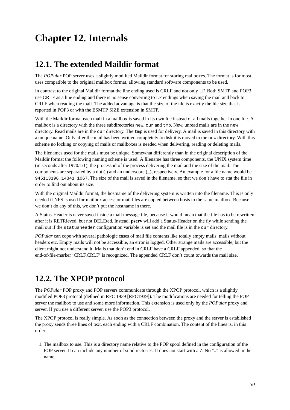# <span id="page-37-0"></span>**Chapter 12. Internals**

## <span id="page-37-1"></span>**12.1. The extended Maildir format**

The *POPular* POP server uses a slightly modified Maildir format for storing mailboxes. The format is for most uses compatible to the original mailbox format, allowing standard software components to be used.

In contrast to the original Maildir format the line ending used is CRLF and not only LF. Both SMTP and POP3 use CRLF as a line ending and there is no sense converting to LF endings when saving the mail and back to CRLF when reading the mail. The added advantage is that the size of the file is exactly the file size that is reported in POP3 or with the ESMTP SIZE extension in SMTP.

With the Maildir format each mail in a mailbox is saved in its own file instead of all mails together in one file. A mailbox is a directory with the three subdirectories new, cur and tmp. New, unread mails are in the new directory. Read mails are in the cur directory. The tmp is used for delivery. A mail is saved in this directory with a unique name. Only after the mail has been written completely to disk it is moved to the new directory. With this scheme no locking or copying of mails or mailboxes is needed when delivering, reading or deleting mails.

The filenames used for the mails must be unique. Somewhat differently than in the original description of the Maildir format the following naming scheme is used: A filename has three components, the UNIX system time (in seconds after  $1970/1/1$ ), the process id of the process delivering the mail and the size of the mail. The components are separated by a dot (.) and an underscore (\_), respectively. An example for a file name would be 945113196.14341\_1067. The size of the mail is saved in the filename, so that we don't have to stat the file in order to find out about its size.

With the original Maildir format, the hostname of the delivering system is written into the filename. This is only needed if NFS is used for mailbox access or mail files are copied between hosts to the same mailbox. Because we don't do any of this, we don't put the hostname in there.

A Status-Header is never saved inside a mail message file, because it would mean that the file has to be rewritten after it is RETRieved, but not DELEted. Instead, **pserv** will add a Status-Header on the fly while sending the mail out if the statusheader configuration variable is set and the mail file is in the cur directory.

*POPular* can cope with several pathologic cases of mail file contents like totally empty mails, mails without headers etc. Empty mails will not be accessible, an error is logged. Other strange mails are accessible, but the client might not understand it. Mails that don't end in CRLF have a CRLF appended, so that the end-of-file-marker 'CRLF.CRLF' is recognized. The appended CRLF don't count towards the mail size.

## <span id="page-37-2"></span>**12.2. The XPOP protocol**

The *POPular* POP proxy and POP servers communicate through the XPOP protocol, which is a slightly modified POP3 protocol (defined in RFC 1939 [RFC1939]). The modifications are needed for telling the POP server the mailbox to use and some more information. This extension is used only by the *POPular* proxy and server. If you use a different server, use the POP3 protocol.

The XPOP protocol is really simple. As soon as the connection between the proxy and the server is established the proxy sends three lines of text, each ending with a CRLF combination. The content of the lines is, in this order:

1. The mailbox to use. This is a directory name relative to the POP spool defined in the configuration of the POP server. It can include any number of subdirectories. It does not start with a  $/$ . No ".." is allowed in the name.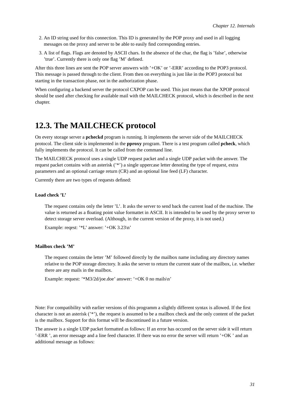- 2. An ID string used for this connection. This ID is generated by the POP proxy and used in all logging messages on the proxy and server to be able to easily find corresponding entries.
- 3. A list of flags. Flags are denoted by ASCII chars. In the absence of the char, the flag is 'false', otherwise 'true'. Currently there is only one flag 'M' defined.

After this three lines are sent the POP server answers with '+OK' or '-ERR' according to the POP3 protocol. This message is passed through to the client. From then on everything is just like in the POP3 protocol but starting in the transaction phase, not in the authorization phase.

When configuring a backend server the protocol CXPOP can be used. This just means that the XPOP protocol should be used after checking for available mail with the MAILCHECK protocol, which is described in the next chapter.

## <span id="page-38-0"></span>**12.3. The MAILCHECK protocol**

On every storage server a **pcheckd** program is running. It implements the server side of the MAILCHECK protocol. The client side is implemented in the **pproxy** program. There is a test program called **pcheck**, which fully implements the protocol. It can be called from the command line.

The MAILCHECK protocol uses a single UDP request packet and a single UDP packet with the answer. The request packet contains with an asterisk ('\*') a single uppercase letter denoting the type of request, extra parameters and an optional carriage return (CR) and an optional line feed (LF) character.

Currently there are two types of requests defined:

#### **Load check 'L'**

The request contains only the letter 'L'. It asks the server to send back the current load of the machine. The value is returned as a floating point value formattet in ASCII. It is intended to be used by the proxy server to detect storage server overload. (Although, in the current version of the proxy, it is not used.)

Example: reqest: '\*L' answer: '+OK 3.23\n'

#### **Mailbox check 'M'**

The request contains the letter 'M' followed directly by the mailbox name including any directory names relative to the POP storage directory. It asks the server to return the current state of the mailbox, i.e. whether there are any mails in the mailbox.

Example: request: '\*M3/2d/joe.doe' answer: '+OK 0 no mails\n'

Note: For compatibility with earlier versions of this programm a slightly different syntax is allowed. If the first character is not an asterisk ('\*'), the request is assumed to be a mailbox check and the only content of the packet is the mailbox. Support for this format will be discontinued in a future version.

The answer is a single UDP packet formatted as follows: If an error has occured on the server side it will return '-ERR ', an error message and a line feed character. If there was no error the server will return '+OK ' and an additional message as follows: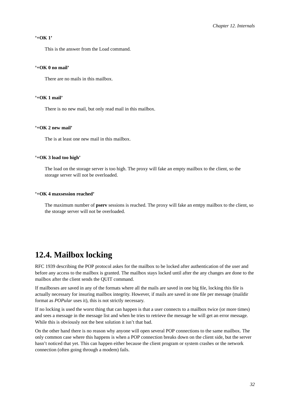#### **'+OK 1'**

This is the answer from the Load command.

#### **'+OK 0 no mail'**

There are no mails in this mailbox.

#### **'+OK 1 mail'**

There is no new mail, but only read mail in this mailbox.

#### **'+OK 2 new mail'**

The is at least one new mail in this mailbox.

#### **'+OK 3 load too high'**

The load on the storage server is too high. The proxy will fake an empty mailbox to the client, so the storage server will not be overloaded.

#### **'+OK 4 maxsession reached'**

The maximum number of **pserv** sessions is reached. The proxy will fake an emtpy mailbox to the client, so the storage server will not be overloaded.

## <span id="page-39-0"></span>**12.4. Mailbox locking**

RFC 1939 describing the POP protocol askes for the mailbox to be locked after authentication of the user and before any access to the mailbox is granted. The mailbox stays locked until after the any changes are done to the mailbox after the client sends the QUIT command.

If mailboxes are saved in any of the formats where all the mails are saved in one big file, locking this file is actually necessary for insuring mailbox integrity. However, if mails are saved in one file per message (maildir format as *POPular* uses it), this is not strictly necessary.

If no locking is used the worst thing that can happen is that a user connects to a mailbox twice (or more times) and sees a message in the message list and when he tries to retrieve the message he will get an error message. While this is obviously not the best solution it isn't that bad.

On the other hand there is no reason why anyone will open several POP connections to the same mailbox. The only common case where this happens is when a POP connection breaks down on the client side, but the server hasn't noticed that yet. This can happen either because the client program or system crashes or the network connection (often going through a modem) fails.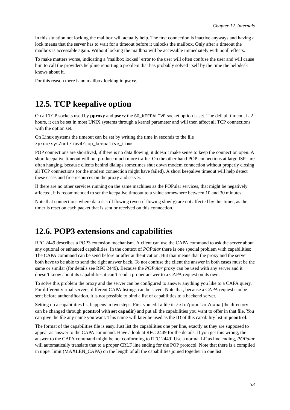In this situation not locking the mailbox will actually help. The first connection is inactive anyways and having a lock means that the server has to wait for a timeout before it unlocks the mailbox. Only after a timeout the mailbox is accessable again. Without locking the mailbox will be accessible immediately with no ill effects.

To make matters worse, indicating a 'mailbox locked' error to the user will often confuse the user and will cause him to call the providers helpline reporting a problem that has probably solved itself by the time the helpdesk knows about it.

<span id="page-40-0"></span>For this reason there is no mailbox locking in **pserv**.

## **12.5. TCP keepalive option**

On all TCP sockets used by **pproxy** and **pserv** the SO\_KEEPALIVE socket option is set. The default timeout is 2 hours, it can be set in most UNIX systems through a kernel parameter and will then affect all TCP connections with the option set.

On Linux systems the timeout can be set by writing the time in seconds to the file /proc/sys/net/ipv4/tcp\_keepalive\_time.

POP connections are shortlived, if there is no data flowing, it doesn't make sense to keep the connection open. A short keepalive timeout will not produce much more traffic. On the other hand POP connections at large ISPs are often hanging, because clients behind dialups sometimes shut down modem connection without properly closing all TCP connections (or the modem connection might have failed). A short keepalive timeout will help detect these cases and free resources on the proxy and server.

If there are no other services running on the same machines as the POPular services, that might be negatively affected, it is recommended to set the keepalive timeout to a value somewhere between 10 and 30 minutes.

<span id="page-40-1"></span>Note that connections where data is still flowing (even if flowing slowly) are not affected by this timer, as the timer is reset on each packet that is sent or received on this connection.

## **12.6. POP3 extensions and capabilities**

RFC 2449 describes a POP3 extension mechanism. A client can use the CAPA command to ask the server about any optional or enhanced capabilities. In the context of *POPular* there is one special problem with capabilities: The CAPA command can be send before or after authentication. But that means that the proxy and the server both have to be able to send the right answer back. To not confuse the client the answer in both cases must be the same or similar (for details see RFC 2449). Because the *POPular* proxy can be used with any server and it doesn't know about its capabilities it can't send a proper answer to a CAPA request on its own.

To solve this problem the proxy and the server can be configured to answer anything you like to a CAPA query. For different virtual servers, different CAPA listings can be saved. Note that, because a CAPA request can be sent before authentification, it is not possible to bind a list of capabilities to a backend server.

Setting up a capabilities list happens in two steps. First you edit a file in /etc/popular/capa (the directory can be changed through **pcontrol** with **set capadir**) and put all the capabilities you want to offer in that file. You can give the file any name you want. This name will later be used as the ID of this capability list in **pcontrol**.

The format of the capabilities file is easy. Just list the capabilities one per line, exactly as they are supposed to appear as answer to the CAPA command. Have a look at RFC 2449 for the details. If you get this wrong, the answer to the CAPA command might be not conforming to RFC 2449! Use a normal LF as line ending, *POPular* will automatically translate that to a proper CRLF line ending for the POP protocol. Note that there is a compiled in upper limit (MAXLEN\_CAPA) on the length of all the capabilities joined together in one list.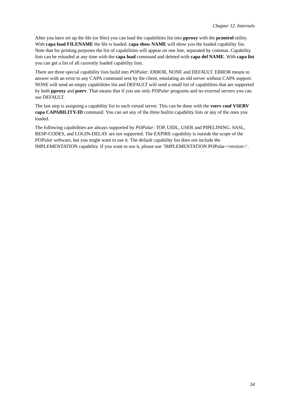After you have set up the file (or files) you can load the capabilities list into **pproxy** with the **pcontrol** utility. With **capa load FILENAME** the file is loaded. **capa show NAME** will show you the loaded capability list. Note that for printing purposes the list of capabilities will appear on one line, separated by commas. Capability lists can be reloaded at any time with the **capa load** command and deleted with **capa del NAME**. With **capa list** you can get a list of all currently loaded capability lists.

There are three special capability lists build into *POPular*: ERROR, NONE and DEFAULT. ERROR means to answer with an error to any CAPA command sent by the client, emulating an old server without CAPA support. NONE will send an empty capabilities list and DEFAULT will send a small list of capabilities that are supported by both **pproxy** and **pserv**. That means that if you use only *POPular* programs and no external servers you can use DEFAULT.

The last step is assigning a capability list to each virtual server. This can be done with the **vserv conf VSERV capa CAPABILITY-ID** command. You can set any of the three builtin capability lists or any of the ones you loaded.

The following capabilities are always supported by *POPular*: TOP, UIDL, USER and PIPELINING. SASL, RESP-CODES, and LOGIN-DELAY are not supported. The EXPIRE capability is outside the scope of the *POPular* software, but you might want to use it. The default capability list does not include the IMPLEMENTATION capability. If you want to use it, please use 'IMPLEMENTATION POPular-<version>'.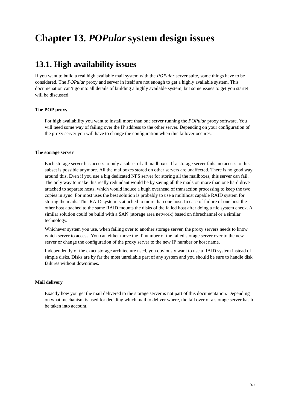# <span id="page-42-1"></span><span id="page-42-0"></span>**Chapter 13.** *POPular* **system design issues**

## **13.1. High availability issues**

If you want to build a real high available mail system with the *POPular* server suite, some things have to be considered. The *POPular* proxy and server in itself are not enough to get a highly available system. This documenation can't go into all details of building a highly available system, but some issues to get you startet will be discussed.

#### **The POP proxy**

For high availability you want to install more than one server running the *POPular* proxy software. You will need some way of failing over the IP address to the other server. Depending on your configuration of the proxy server you will have to change the configuration when this failover occures.

#### **The storage server**

Each storage server has access to only a subset of all mailboxes. If a storage server fails, no access to this subset is possible anymore. All the mailboxes stored on other servers are unaffected. There is no good way around this. Even if you use a big dedicated NFS server for storing all the mailboxes, this server can fail. The only way to make this really redundant would be by saving all the mails on more than one hard drive attached to separate hosts, which would induce a hugh overhead of transaction processing to keep the two copies in sync. For most uses the best solution is probably to use a multihost capable RAID system for storing the mails. This RAID system is attached to more than one host. In case of failure of one host the other host attached to the same RAID mounts the disks of the failed host after doing a file system check. A similar solution could be build with a SAN (storage area network) based on fibrechannel or a similar technology.

Whichever system you use, when failing over to another storage server, the proxy servers needs to know which server to access. You can either move the IP number of the failed storage server over to the new server or change the configuration of the proxy server to the new IP number or host name.

Independently of the exact storage architecture used, you obviously want to use a RAID system instead of simple disks. Disks are by far the most unreliable part of any system and you should be sure to handle disk failures without downtimes.

#### **Mail delivery**

<span id="page-42-2"></span>Exactly how you get the mail delivered to the storage server is not part of this documentation. Depending on what mechanism is used for deciding which mail to deliver where, the fail over of a storage server has to be taken into account.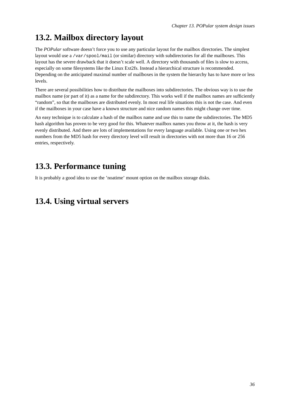## **13.2. Mailbox directory layout**

The *POPular* software doesn't force you to use any particular layout for the mailbox directories. The simplest layout would use a /var/spool/mail (or similar) directory with subdirectories for all the mailboxes. This layout has the severe drawback that it doesn't scale well. A directory with thousands of files is slow to access, especially on some filesystems like the Linux Ext2fs. Instead a hierarchical structure is recommended. Depending on the anticipated maximal number of mailboxes in the system the hierarchy has to have more or less levels.

There are several possibilities how to distribute the mailboxes into subdirectories. The obvious way is to use the mailbox name (or part of it) as a name for the subdirectory. This works well if the mailbox names are sufficiently "random", so that the mailboxes are distributed evenly. In most real life situations this is not the case. And even if the mailboxes in your case have a known structure and nice random names this might change over time.

An easy technique is to calculate a hash of the mailbox name and use this to name the subdirectories. The MD5 hash algorithm has proven to be very good for this. Whatever mailbox names you throw at it, the hash is very evenly distributed. And there are lots of implementations for every language available. Using one or two hex numbers from the MD5 hash for every directory level will result in directories with not more than 16 or 256 entries, respectively.

## <span id="page-43-0"></span>**13.3. Performance tuning**

<span id="page-43-1"></span>It is probably a good idea to use the 'noatime' mount option on the mailbox storage disks.

## **13.4. Using virtual servers**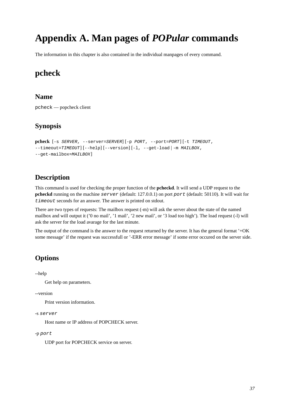# <span id="page-44-0"></span>**Appendix A. Man pages of** *POPular* **commands**

<span id="page-44-1"></span>The information in this chapter is also contained in the individual manpages of every command.

## **pcheck**

### **Name**

pcheck — popcheck client

### **Synopsis**

```
pcheck [-s SERVER, --server=SERVER] [-p PORT, --port=PORT] [-t TIMEOUT,
--timeout=TIMEOUT] [--help] [--version] [-1, --get-load | -m MAILBOX,
--get-mailbox=MAILBOX]
```
### **Description**

This command is used for checking the proper function of the **pcheckd**. It will send a UDP request to the **pcheckd** running on the machine server (default: 127.0.0.1) on port port (default: 50110). It will wait for timeout seconds for an answer. The answer is printed on stdout.

There are two types of requests: The mailbox request (-m) will ask the server about the state of the named mailbox and will output it ('0 no mail', '1 mail', '2 new mail', or '3 load too high'). The load request (-l) will ask the server for the load avarage for the last minute.

The output of the command is the answer to the request returned by the server. It has the general format '+OK some message' if the request was successfull or '-ERR error message' if some error occured on the server side.

### **Options**

--help

Get help on parameters.

--version

Print version information.

#### -s server

Host name or IP address of POPCHECK server.

#### -p port

UDP port for POPCHECK service on server.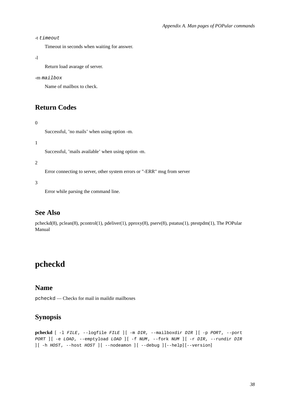-t timeout

Timeout in seconds when waiting for answer.

```
-l
```
Return load avarage of server.

#### -m mailbox

Name of mailbox to check.

### **Return Codes**

#### 0

Successful, 'no mails' when using option -m.

#### 1

Successful, 'mails available' when using option -m.

#### 2

Error connecting to server, other system errors or "-ERR" msg from server

3

Error while parsing the command line.

### **See Also**

pcheckd(8), pclean(8), pcontrol(1), pdeliver(1), pproxy(8), pserv(8), pstatus(1), ptestpdm(1), The POPular Manual

## <span id="page-45-0"></span>**pcheckd**

### **Name**

pcheckd — Checks for mail in maildir mailboxes

## **Synopsis**

```
pcheckd [ -l FILE, --logfile FILE ] [ -m DIR, --mailboxdir DIR ] [ -p PORT, --port
PORT ] [ -e LOAD, --emptyload LOAD ] [ -f NUM, --fork NUM ] [ -r DIR, --rundir DIR
\left[\begin{array}{cc} -h & HOST, & --host & HOST \end{array}\right] [ --nodeamon ] [ --debug ] [--help] [--version]
```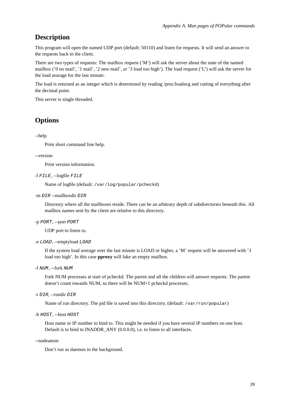### **Description**

This program will open the named UDP port (default: 50110) and listen for requests. It will send an answer to the requests back to the client.

There are two types of requests: The mailbox request ('M') will ask the server about the state of the named mailbox ('0 no mail', '1 mail', '2 new mail', or '3 load too high'). The load request ('L') will ask the server for the load avarage for the last minute.

The load is returned as an integer which is determined by reading /proc/loadavg and cutting of everything after the decimal point.

This server is single threaded.

### **Options**

--help

Print short command line help.

--version

Print version information.

-l FILE, --logfile FILE

Name of logfile (default: /var/log/popular/pcheckd)

-m DIR --mailboxdir DIR

Directory where all the mailboxes reside. There can be an arbitrary depth of subdirectories beneath this. All mailbox names sent by the client are relative to this directory.

#### -p PORT, --port PORT

UDP port to listen to.

```
-e LOAD, --emptyload LOAD
```
If the system load average over the last minute is LOAD or higher, a 'M' request will be answered with '3 load too high'. In this case **pproxy** will fake an empty mailbox.

-f NUM, --fork NUM

Fork NUM processes at start of pcheckd. The parent and all the children will answer requests. The parent doesn't count towards NUM, so there will be NUM+1 pcheckd processes.

-r DIR, --rundir DIR

Name of run directory. The pid file is saved into this directory. (default: /var/run/popular)

```
-h HOST, --host HOST
```
Host name or IP number to bind to. This might be needed if you have several IP numbers on one host. Default is to bind to INADDR\_ANY (0.0.0.0), i.e. to listen to all interfaces.

--nodeamon

Don't run as daemon in the background.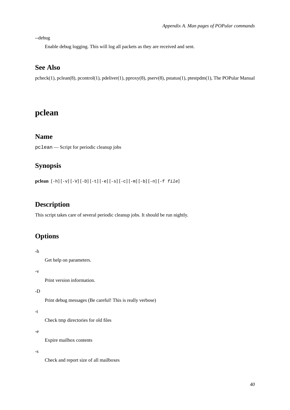--debug

Enable debug logging. This will log all packets as they are received and sent.

### **See Also**

pcheck(1), pclean(8), pcontrol(1), pdeliver(1), pproxy(8), pserv(8), pstatus(1), ptestpdm(1), The POPular Manual

## <span id="page-47-0"></span>**pclean**

### **Name**

pclean — Script for periodic cleanup jobs

## **Synopsis**

**pclean** [-h] [-v] [-V] [-D] [-t] [-e] [-s] [-c] [-m] [-b] [-n] [-f file]

## **Description**

This script takes care of several periodic cleanup jobs. It should be run nightly.

## **Options**

-h

Get help on parameters.

-v

Print version information.

-D

Print debug messages (Be careful! This is really verbose)

#### -t

Check tmp directories for old files

#### -e

Expire mailbox contents

#### -s

Check and report size of all mailboxes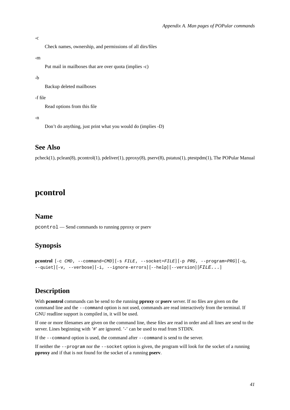#### -c

Check names, ownership, and permissions of all dirs/files

#### -m

Put mail in mailboxes that are over quota (implies -c)

#### -b

Backup deleted mailboxes

#### -f file

Read options from this file

-n

Don't do anything, just print what you would do (implies -D)

### **See Also**

pcheck(1), pclean(8), pcontrol(1), pdeliver(1), pproxy(8), pserv(8), pstatus(1), ptestpdm(1), The POPular Manual

## <span id="page-48-0"></span>**pcontrol**

### **Name**

pcontrol — Send commands to running pproxy or pserv

### **Synopsis**

```
pcontrol [-c CMD, --command=CMD] [-s FILE, --socket=FILE] [-p PRG, --program=PRG] [-q,
--quiet] [-v, --verbose] [-i, --ignore-errors] [--help] [-version] [FILE...]
```
### **Description**

With **pcontrol** commands can be send to the running **pproxy** or **pserv** server. If no files are given on the command line and the --command option is not used, commands are read interactively from the terminal. If GNU readline support is compiled in, it will be used.

If one or more filenames are given on the command line, these files are read in order and all lines are send to the server. Lines beginning with '#' are ignored. '-' can be used to read from STDIN.

If the --command option is used, the command after --command is send to the server.

If neither the --program nor the --socket option is given, the program will look for the socket of a running **pproxy** and if that is not found for the socket of a running **pserv**.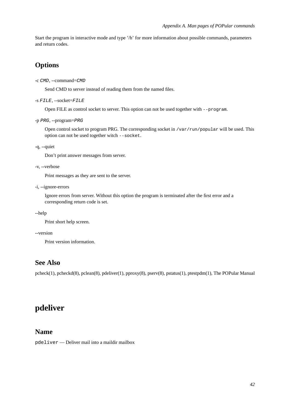Start the program in interactive mode and type '/h' for more information about possible commands, parameters and return codes.

## **Options**

-c CMD, --command=CMD

Send CMD to server instead of reading them from the named files.

```
-s FILE, --socket=FILE
```
Open FILE as control socket to server. This option can not be used together with --program.

```
-p PRG, --program=PRG
```
Open control socket to program PRG. The corresponding socket in /var/run/popular will be used. This option can not be used together witch --socket.

-q, --quiet

Don't print answer messages from server.

```
-v, --verbose
```
Print messages as they are sent to the server.

-i, --ignore-errors

Ignore errors from server. Without this option the program is terminated after the first error and a corresponding return code is set.

--help

Print short help screen.

--version

Print version information.

### **See Also**

pcheck(1), pcheckd(8), pclean(8), pdeliver(1), pproxy(8), pserv(8), pstatus(1), ptestpdm(1), The POPular Manual

## <span id="page-49-0"></span>**pdeliver**

### **Name**

pdeliver — Deliver mail into a maildir mailbox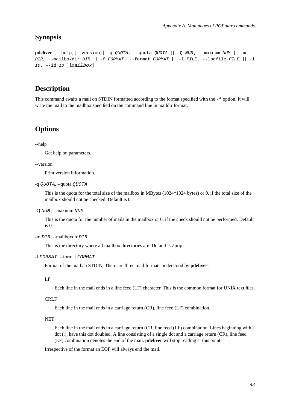### **Synopsis**

```
pdeliver [--help] [--version] [ -q QUOTA, --quota QUOTA ] [ -Q NUM, --maxnum NUM ] [ -m
DIR, --mailboxdir DIR \begin{bmatrix} -f & FORMAT & --format & FORMAT \end{bmatrix} | -1 FILE, --logfile FILE | | -i
ID, --id ID | [mailbox]
```
### **Description**

This command awaits a mail on STDIN formatted according to the format specified with the -f option. It will write the mail to the mailbox specified on the command line in maildir format.

### **Options**

--help

Get help on parameters.

--version

Print version information.

```
-q QUOTA, --quota QUOTA
```
This is the quota for the total size of the mailbox in MBytes (1024\*1024 bytes) or 0, if the total size of the mailbox should not be checked. Default is 0.

-Q NUM, --maxnum NUM

This is the quota for the number of mails in the mailbox or 0, if the check should not be performed. Default  $i$ s  $\theta$ .

```
-m DIR, --mailboxdir DIR
```
This is the directory where all mailbox directories are. Default is /pop.

```
-f FORMAT, --format FORMAT
```
Format of the mail an STDIN. There are three mail formats understood by **pdeliver**:

LF

Each line in the mail ends in a line feed (LF) character. This is the common format for UNIX text files.

#### CRLF

Each line in the mail ends in a carriage return (CR), line feed (LF) combination.

**NET** 

Each line in the mail ends in a carriage return (CR, line feed (LF) combination. Lines beginning with a dot (.), have this dot doubled. A line consisting of a single dot and a carriage return (CR), line feed (LF) combination denotes the end of the mail. **pdeliver** will stop reading at this point.

Irrespective of the format an EOF will always end the mail.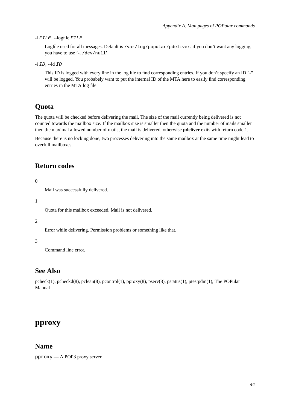-l FILE, --logfile FILE

Logfile used for all messages. Default is /var/log/popular/pdeliver. if you don't want any logging, you have to use '-l /dev/null'.

-i ID, --id ID

This ID is logged with every line in the log file to find corresponding entries. If you don't specify an ID "-" will be logged. You probabely want to put the internal ID of the MTA here to easily find corresponding entries in the MTA log file.

### **Quota**

The quota will be checked before delivering the mail. The size of the mail currently being delivered is not counted towards the mailbox size. If the mailbox size is smaller then the quota and the number of mails smaller then the maximal allowed number of mails, the mail is delivered, otherwise **pdeliver** exits with return code 1.

Because there is no locking done, two processes delivering into the same mailbox at the same time might lead to overfull mailboxes.

### **Return codes**

 $\theta$ 

Mail was successfully delivered.

1

Quota for this mailbox exceeded. Mail is not delivered.

2

Error while delivering. Permission problems or something like that.

3

Command line error.

### **See Also**

pcheck(1), pcheckd(8), pclean(8), pcontrol(1), pproxy(8), pserv(8), pstatus(1), ptestpdm(1), The POPular Manual

### <span id="page-51-0"></span>**pproxy**

#### **Name**

pproxy — A POP3 proxy server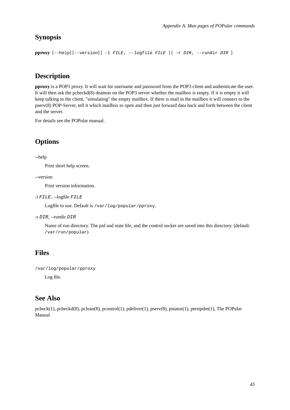## **Synopsis**

**pproxy** [--help] [--version] [ -l FILE, --logfile FILE ] [ -r DIR, --rundir DIR ]

## **Description**

**pproxy** is a POP3 proxy. It will wait for username and password from the POP3 client and authenticate the user. It will then ask the pcheckd(8) deamon on the POP3 server whether the mailbox is empty. If it is empty it will keep talking to the client, "simulating" the empty mailbox. If there is mail in the mailbox it will connect to the pserv(8) POP-Server, tell it which mailbox to open and then just forward data back and forth between the client and the server.

For details see the POPular manual.

## **Options**

--help

Print short help screen.

--version

Print version information.

-l FILE, --logfile FILE

Logfile to use. Default is /var/log/popular/pproxy.

-r DIR, --rundir DIR

Name of run directory. The pid and state file, and the control socket are saved into this directory. (default: /var/run/popular)

## **Files**

```
/var/log/popular/pproxy
```
Log file.

## **See Also**

<span id="page-52-0"></span>pcheck(1), pcheckd(8), pclean(8), pcontrol(1), pdeliver(1), pserv(8), pstatus(1), ptestpdm(1), The POPular Manual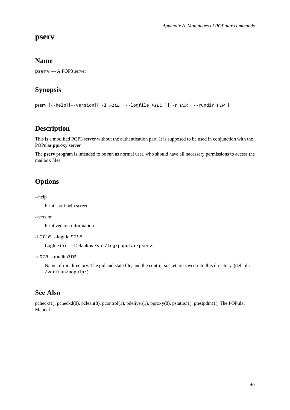### **pserv**

### **Name**

pserv — A POP3 server

## **Synopsis**

**pserv** [--help] [--version] [ -l FILE, --logfile FILE ] [ -r DIR, --rundir DIR ]

### **Description**

This is a modified POP3 server without the authentication part. It is supposed to be used in conjunction with the POPular **pproxy** server.

The **pserv** program is intended to be run as normal user, who should have all necessary permissions to access the mailbox files.

## **Options**

--help

Print short help screen.

#### --version

Print version information.

```
-l FILE, --logfile FILE
```
Logfile to use. Default is /var/log/popular/pserv.

-r DIR, --rundir DIR

Name of run directory. The pid and state file, and the control socket are saved into this directory. (default: /var/run/popular)

### **See Also**

<span id="page-53-0"></span>pcheck(1), pcheckd(8), pclean(8), pcontrol(1), pdeliver(1), pproxy(8), pstatus(1), ptestpdm(1), The POPular Manual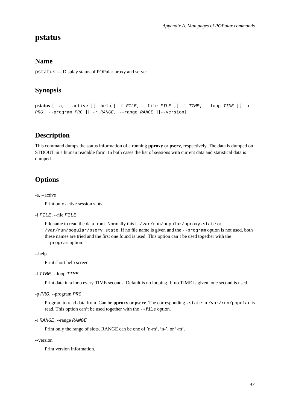### **pstatus**

### **Name**

pstatus — Display status of POPular proxy and server

## **Synopsis**

```
pstatus [-a, -active] [-he1p] [-f FILE, [-file F1LE ] [-1 TIME, [-10op TIME ] [-pPRG, --program PRG | [ -r RANGE, --range RANGE | [--version]
```
## **Description**

This command dumps the status information of a running **pproxy** or **pserv**, respectively. The data is dumped on STDOUT in a human readable form. In both cases the list of sessions with current data and statistical data is dumped.

## **Options**

#### -a, --active

Print only active session slots.

#### -f FILE, --file FILE

Filename to read the data from. Normally this is /var/run/popular/pproxy.state or /var/run/popular/pserv.state. If no file name is given and the --program option is not used, both these names are tried and the first one found is used. This option can't be used together with the --program option.

#### --help

Print short help screen.

#### -l TIME, --loop TIME

Print data in a loop every TIME seconds. Default is no looping. If no TIME is given, one second is used.

#### -p PRG, --program PRG

Program to read data from. Can be **pproxy** or **pserv**. The corresponding .state in /var/run/popular is read. This option can't be used together with the --file option.

```
-r RANGE, --range RANGE
```
Print only the range of slots. RANGE can be one of 'n-m', 'n-', or '-m'.

--version

Print version information.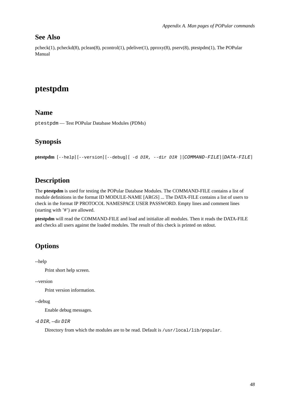### **See Also**

pcheck(1), pcheckd(8), pclean(8), pcontrol(1), pdeliver(1), pproxy(8), pserv(8), ptestpdm(1), The POPular Manual

## <span id="page-55-0"></span>**ptestpdm**

### **Name**

ptestpdm — Test POPular Database Modules (PDMs)

### **Synopsis**

**ptestpdm** [--help] [--version] [--debug] [ -d DIR, --dir DIR ] [COMMAND-FILE] [DATA-FILE]

### **Description**

The **ptestpdm** is used for testing the POPular Database Modules. The COMMAND-FILE contains a list of module definitions in the format ID MODULE-NAME [ARGS] ... The DATA-FILE contains a list of users to check in the format IP PROTOCOL NAMESPACE USER PASSWORD. Empty lines and comment lines (starting with '#') are allowed.

**ptestpdm** will read the COMMAND-FILE and load and initialize all modules. Then it reads the DATA-FILE and checks all users against the loaded modules. The result of this check is printed on stdout.

### **Options**

--help

Print short help screen.

--version

Print version information.

--debug

Enable debug messages.

```
-d DIR, --dir DIR
```
Directory from which the modules are to be read. Default is /usr/local/lib/popular.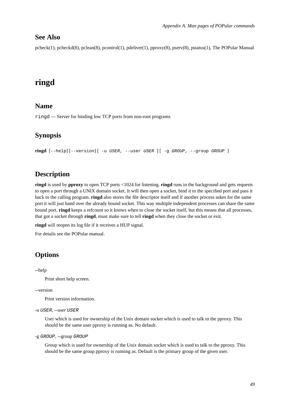### **See Also**

pcheck(1), pcheckd(8), pclean(8), pcontrol(1), pdeliver(1), pproxy(8), pserv(8), pstatus(1), The POPular Manual

## <span id="page-56-0"></span>**ringd**

### **Name**

ringd — Server for binding low TCP ports from non-root programs

### **Synopsis**

**ringd** [--help] [--version] [ -u USER, --user USER ] [ -g GROUP, --group GROUP ]

### **Description**

**ringd** is used by **pproxy** to open TCP ports <1024 for listening. **ringd** runs in the background and gets requests to open a port through a UNIX domain socket. It will then open a socket, bind it to the specified port and pass it back to the calling program. **ringd** also stores the file descriptor itself and if another process askes for the same port it will just hand over the already bound socket. This way multiple independent processes can share the same bound port. **ringd** keeps a refcount so it knows when to close the socket itself, but this means that all processes, that got a socket through **ringd**, must make sure to tell **ringd** when they close the socket or exit.

**ringd** will reopen its log file if it receives a HUP signal.

For details see the POPular manual.

## **Options**

--help

Print short help screen.

--version

Print version information.

```
-u USER, --user USER
```
User which is used for ownership of the Unix domain socket which is used to talk to the pproxy. This should be the same user pproxy is running as. No default.

```
-g GROUP, --group GROUP
```
Group which is used for ownership of the Unix domain socket which is used to talk to the pproxy. This should be the same group pproxy is running as. Default is the primary group of the given user.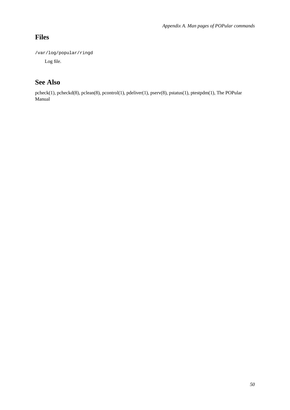## **Files**

/var/log/popular/ringd

Log file.

## **See Also**

pcheck(1), pcheckd(8), pclean(8), pcontrol(1), pdeliver(1), pserv(8), pstatus(1), ptestpdm(1), The POPular Manual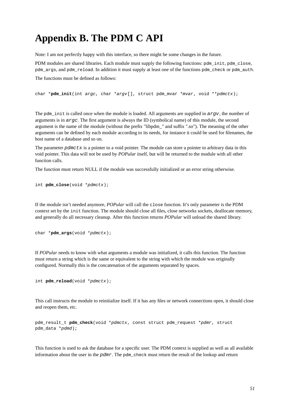# <span id="page-58-0"></span>**Appendix B. The PDM C API**

Note: I am not perfectly happy with this interface, so there might be some changes in the future.

PDM modules are shared libraries. Each module must supply the following functions: pdm\_init, pdm\_close, pdm\_args, and pdm\_reload. In addition it must supply at least one of the functions pdm\_check or pdm\_auth. The functions must be defined as follows:

char \***pdm\_init**(int argc, char \*argv[], struct pdm\_mvar \*mvar, void \*\*pdmctx);

The pdm\_init is called once when the module is loaded. All arguments are supplied in  $\arg w$ , the number of arguments is in  $\angle a \angle r \angle q \angle r$ . The first argument is always the ID (symbolical name) of this module, the second argument is the name of the module (without the prefix "libpdm\_" and suffix ".so"). The meaning of the other arguments can be defined by each module according to its needs, for instance it could be used for filenames, the host name of a database and so on.

The parameter pdmctx is a pointer to a void pointer. The module can store a pointer to arbitrary data in this void pointer. This data will not be used by *POPular* itself, but will be returned to the module with all other function calls.

The function must return NULL if the module was successfully initialized or an error string otherwise.

```
int pdm_close(void *pdmctx);
```
If the module isn't needed anymore, *POPular* will call the close function. It's only parameter is the PDM context set by the init function. The module should close all files, close networks sockets, deallocate memory, and generally do all necessary cleanup. After this function returns *POPular* will unload the shared library.

```
char *pdm_args(void *pdmctx);
```
If *POPular* needs to know with what arguments a module was initialized, it calls this function. The function must return a string which is the same or equivalent to the string with which the module was originally configured. Normally this is the concatenation of the arguments separated by spaces.

```
int pdm_reload(void *pdmctx);
```
This call instructs the module to reinitialize itself. If it has any files or network connections open, it should close and reopen them, etc.

```
pdm_result_t pdm_check(void *pdmctx, const struct pdm_request *pdmr, struct
pdm_data *pdmd);
```
This function is used to ask the database for a specific user. The PDM context is supplied as well as all available information about the user in the  $pdmr$ . The  $pdm$  check must return the result of the lookup and return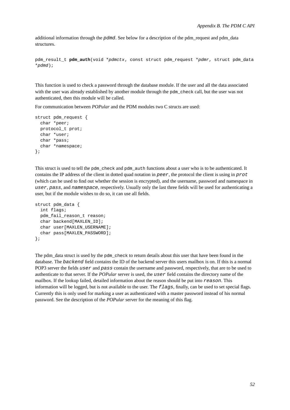additional information through the pdmd. See below for a description of the pdm\_request and pdm\_data structures.

```
pdm_result_t pdm_auth(void *pdmctx, const struct pdm_request *pdmr, struct pdm_data
*pdmd);
```
This function is used to check a password through the database module. If the user and all the data associated with the user was already established by another module through the pdm\_check call, but the user was not authenticated, then this module will be called.

For communication between *POPular* and the PDM modules two C structs are used:

```
struct pdm_request {
 char *peer;
 protocol_t prot;
 char *user;
 char *pass;
  char *namespace;
};
```
This struct is used to tell the pdm\_check and pdm\_auth functions about a user who is to be authenticated. It contains the IP address of the client in dotted quad notation in peer, the protocol the client is using in prot (which can be used to find out whether the session is encrypted), and the username, password and namespace in user, pass, and namespace, respectively. Usually only the last three fields will be used for authenticating a user, but if the module wishes to do so, it can use all fields.

```
struct pdm_data {
  int flags;
 pdm_fail_reason_t reason;
  char backend[MAXLEN ID];
  char user[MAXLEN USERNAME];
 char pass[MAXLEN_PASSWORD];
};
```
The pdm\_data struct is used by the pdm\_check to return details about this user that have been found in the database. The backend field contains the ID of the backend server this users mailbox is on. If this is a normal POP3 server the fields user and pass contain the username and password, respectively, that are to be used to authenticate to that server. If the *POPular* server is used, the user field contains the directory name of the mailbox. If the lookup failed, detailed information about the reason should be put into reason. This information will be logged, but is not available to the user. The  $flags$ , finally, can be used to set special flags. Currently this is only used for marking a user as authenticated with a master password instead of his normal password. See the description of the *POPular* server for the meaning of this flag.